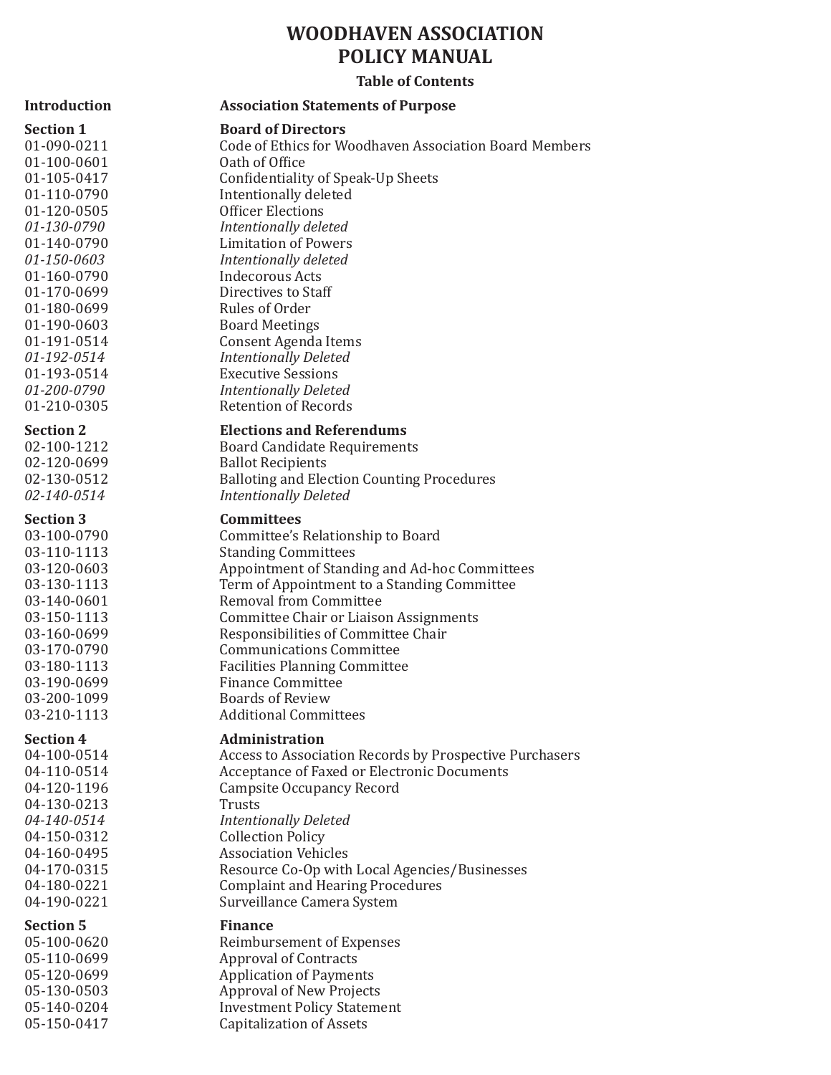# **WOODHAVEN ASSOCIATION POLICY MANUAL**

## **Table of Contents**

01-100-0601<br>01-105-0417

01-180-0699<br>01-190-0603

# **Introduction Association Statements of Purpose**

#### **Section 1 Board of Directors**

01-090-0211 Code of Ethics for Woodhaven Association Board Members<br>01-100-0601 0ath of Office 01-105-0417 Confidentiality of Speak-Up Sheets<br>01-110-0790 Intentionally deleted 01-110-0790 Intentionally deleted 01-120-0505 Officer Elections<br>
01-130-0790 *Intentionally dele 01-130-0790 Intentionally deleted* 01-140-0790 Limitation of Powers<br>01-150-0603 *Intentionally deleted 01-150-0603 Intentionally deleted*  01-160-0790 Indecorous Acts<br>01-170-0699 Directives to Sta Directives to Staff<br>Rules of Order 01-190-0603 Board Meetings<br>01-191-0514 Consent Agenda 01-191-0514 Consent Agenda Items<br>01-192-0514 *Intentionally Deleted 01-192-0514 Intentionally Deleted*  01-193-0514 Executive Sessions<br>01-200-0790 *Intentionally Delete* **Intentionally Deleted** 01-210-0305 Retention of Records

#### **Section 2 Elections and Referendums**

02-100-1212 Board Candidate Requirements<br>02-120-0699 Ballot Recipients 02-120-0699 Ballot Recipients<br>02-130-0512 Balloting and Elec 02-130-0512 Balloting and Election Counting Procedures<br>02-140-0514 Intentionally Deleted *02-140-0514 Intentionally Deleted* 

#### **Section 3 Committees**

03-100-0790 Committee's Relationship to Board<br>03-110-1113 Standing Committees 03-110-1113 Standing Committees<br>03-120-0603 Appointment of Stand 03-120-0603<br>03-130-1113 Appointment of Standing and Ad-hoc Committees<br>Term of Appointment to a Standing Committee 03-130-1113 Term of Appointment to a Standing Committee<br>03-140-0601 Removal from Committee 03-140-0601 Removal from Committee<br>03-150-1113 Committee Chair or Liaiso 03-150-1113 Committee Chair or Liaison Assignments 03-160-0699 Responsibilities of Committee Chair<br>03-170-0790 Communications Committee 03-170-0790 Communications Committee<br>03-180-1113 Facilities Planning Committe 03-180-1113<br>03-190-0699 Facilities Planning Committee 03-190-0699 Finance Committee 03-200-1099 Boards of Review<br>03-210-1113 Additional Comm Additional Committees

#### **Section 4 Administration**

04-100-0514 Access to Association Records by Prospective Purchasers 04-110-0514 Acceptance of Faxed or Electronic Documents<br>04-120-1196 Campsite Occupancy Record Campsite Occupancy Record<br>Trusts *04-140-0514 Intentionally Deleted*  04-150-0312 Collection Policy<br>04-160-0495 Association Vehic 04-160-0495 <br>04-170-0315 Resource Co-Op with 04-170-0315 Resource Co-Op with Local Agencies/Businesses<br>04-180-0221 Complaint and Hearing Procedures 04-180-0221 Complaint and Hearing Procedures Surveillance Camera System

**Section 5**<br>05-100-0620 **Finance**<br>Reimburs

04-130-0213<br>04-140-0514

#### 05-100-0620 Reimbursement of Expenses<br>05-110-0699 Approval of Contracts 05-110-0699 Approval of Contracts<br>05-120-0699 Application of Paymer 05-120-0699 Application of Payments<br>05-130-0503 Approval of New Projects 05-130-0503<br>05-140-0204 **Approval of New Projects** 05-140-0204 Investment Policy Statement<br>05-150-0417 Capitalization of Assets Capitalization of Assets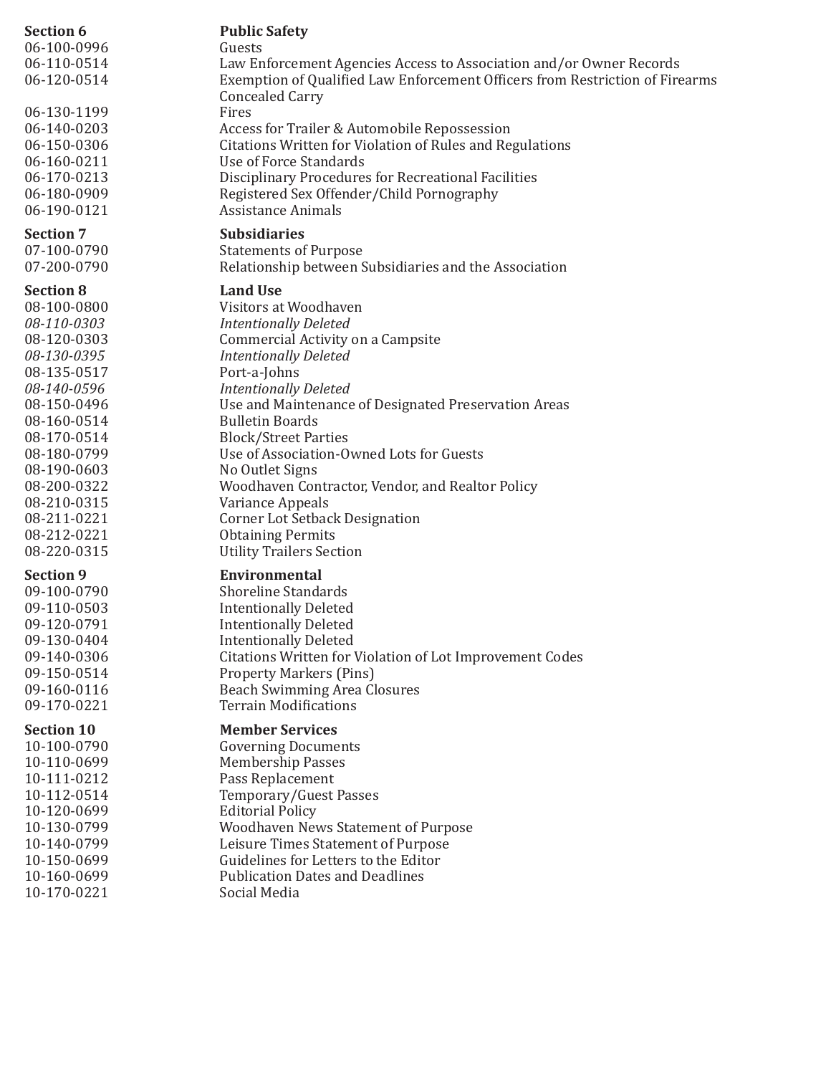06-100-0996 Guests<br>06-110-0514 Law En

06-130-1199<br>06-140-0203 06-160-0211 Use of Force Standards<br>06-170-0213 Disciplinary Procedure

08-135-0517 Port-a-Johns<br>08-140-0596 *Intentionally* 

10-170-0221

### **Section 6 Public Safety**

06-110-0514 Law Enforcement Agencies Access to Association and/or Owner Records Exemption of Qualified Law Enforcement Officers from Restriction of Firearms Concealed Carry 06-140-0203 Access for Trailer & Automobile Repossession 06-150-0306 Citations Written for Violation of Rules and Regulations<br>06-160-0211 Use of Force Standards

06-170-0213 Disciplinary Procedures for Recreational Facilities<br>06-180-0909 Registered Sex Offender/Child Pornography

06-180-0909 Registered Sex Offender/Child Pornography<br>06-190-0121 Assistance Animals Assistance Animals

#### **Section 7 Subsidiaries**

07-100-0790 Statements of Purpose<br>07-200-0790 Relationship between \, Relationship between Subsidiaries and the Association

#### **Section 8 Land Use**

08-100-0800 Visitors at Woodhaven<br>08-110-0303 *Intentionally Deleted 08-110-0303 Intentionally Deleted*  08-120-0303 Commercial Activity on a Campsite<br>08-130-0395 Intentionally Deleted *08-130-0395 Intentionally Deleted 08-140-0596 Intentionally Deleted*  08-150-0496 Use and Maintenance of Designated Preservation Areas<br>08-160-0514 Bulletin Boards 08-160-0514 Bulletin Boards 08-170-0514 Block/Street Parties<br>08-180-0799 Use of Association-O 08-180-0799 Use of Association-Owned Lots for Guests<br>08-190-0603 No Outlet Signs 08-190-0603 No Outlet Signs 08-200-0322 Woodhaven Contractor, Vendor, and Realtor Policy<br>08-210-0315 Variance Appeals 08-210-0315 Variance Appeals 08-211-0221 Corner Lot Setback Designation<br>08-212-0221 Obtaining Permits 08-212-0221 Obtaining Permits **Utility Trailers Section** 

# **Section 9 Environmental**

09-100-0790 Shoreline Standards<br>09-110-0503 Intentionally Deleted 09-110-0503<br>09-120-0791 Intentionally Deleted 09-120-0791 Intentionally Deleted<br>09-130-0404 Intentionally Deleted 09-130-0404 Intentionally Deleted<br>09-140-0306 Citations Written for ' 09-140-0306 Citations Written for Violation of Lot Improvement Codes<br>09-150-0514 Property Markers (Pins) 09-150-0514 Property Markers (Pins) 09-160-0116 Beach Swimming Area Closures<br>09-170-0221 Terrain Modifications **Terrain Modifications** 

**Section 10 Member Services**<br>10-100-0790 **Governing Docume** 10-100-0790 Governing Documents<br>10-110-0699 Membership Passes 10-110-0699 Membership Passes 10-111-0212 Pass Replacement<br>10-112-0514 Temporary/Guest 10-112-0514 Temporary/Guest Passes<br>10-120-0699 Editorial Policy 10-120-0699 Editorial Policy 10-130-0799 Woodhaven News Statement of Purpose 10-140-0799 Leisure Times Statement of Purpose 10-150-0699 Guidelines for Letters to the Editor Publication Dates and Deadlines<br>Social Media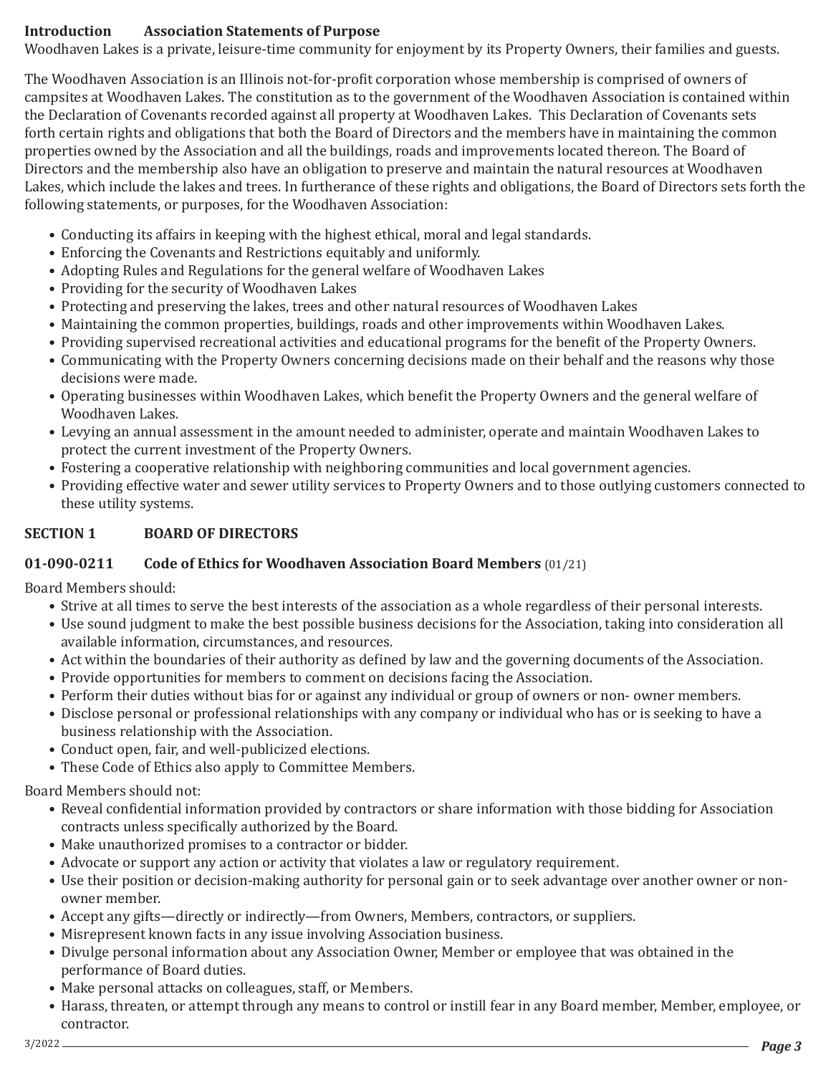## **Introduction Association Statements of Purpose**

Woodhaven Lakes is a private, leisure-time community for enjoyment by its Property Owners, their families and guests.

The Woodhaven Association is an Illinois not-for-profit corporation whose membership is comprised of owners of campsites at Woodhaven Lakes. The constitution as to the government of the Woodhaven Association is contained within the Declaration of Covenants recorded against all property at Woodhaven Lakes. This Declaration of Covenants sets forth certain rights and obligations that both the Board of Directors and the members have in maintaining the common properties owned by the Association and all the buildings, roads and improvements located thereon. The Board of Directors and the membership also have an obligation to preserve and maintain the natural resources at Woodhaven Lakes, which include the lakes and trees. In furtherance of these rights and obligations, the Board of Directors sets forth the following statements, or purposes, for the Woodhaven Association:

- Conducting its affairs in keeping with the highest ethical, moral and legal standards.
- Enforcing the Covenants and Restrictions equitably and uniformly.
- Adopting Rules and Regulations for the general welfare of Woodhaven Lakes
- Providing for the security of Woodhaven Lakes
- Protecting and preserving the lakes, trees and other natural resources of Woodhaven Lakes
- Maintaining the common properties, buildings, roads and other improvements within Woodhaven Lakes.
- Providing supervised recreational activities and educational programs for the benefit of the Property Owners.
- Communicating with the Property Owners concerning decisions made on their behalf and the reasons why those decisions were made.
- Operating businesses within Woodhaven Lakes, which benefit the Property Owners and the general welfare of Woodhaven Lakes.
- Levying an annual assessment in the amount needed to administer, operate and maintain Woodhaven Lakes to protect the current investment of the Property Owners.
- Fostering a cooperative relationship with neighboring communities and local government agencies.
- Providing effective water and sewer utility services to Property Owners and to those outlying customers connected to these utility systems.

# **SECTION 1 BOARD OF DIRECTORS**

# **01-090-0211 Code of Ethics for Woodhaven Association Board Members** (01/21)

Board Members should:

- Strive at all times to serve the best interests of the association as a whole regardless of their personal interests.
- Use sound judgment to make the best possible business decisions for the Association, taking into consideration all available information, circumstances, and resources.
- Act within the boundaries of their authority as defined by law and the governing documents of the Association.
- Provide opportunities for members to comment on decisions facing the Association.
- Perform their duties without bias for or against any individual or group of owners or non- owner members.
- Disclose personal or professional relationships with any company or individual who has or is seeking to have a business relationship with the Association.
- Conduct open, fair, and well-publicized elections.
- These Code of Ethics also apply to Committee Members.

Board Members should not:

- Reveal confidential information provided by contractors or share information with those bidding for Association contracts unless specifically authorized by the Board.
- Make unauthorized promises to a contractor or bidder.
- Advocate or support any action or activity that violates a law or regulatory requirement.
- Use their position or decision-making authority for personal gain or to seek advantage over another owner or nonowner member.
- Accept any gifts—directly or indirectly—from Owners, Members, contractors, or suppliers.
- Misrepresent known facts in any issue involving Association business.
- Divulge personal information about any Association Owner, Member or employee that was obtained in the performance of Board duties.
- Make personal attacks on colleagues, staff, or Members.
- Harass, threaten, or attempt through any means to control or instill fear in any Board member, Member, employee, or contractor.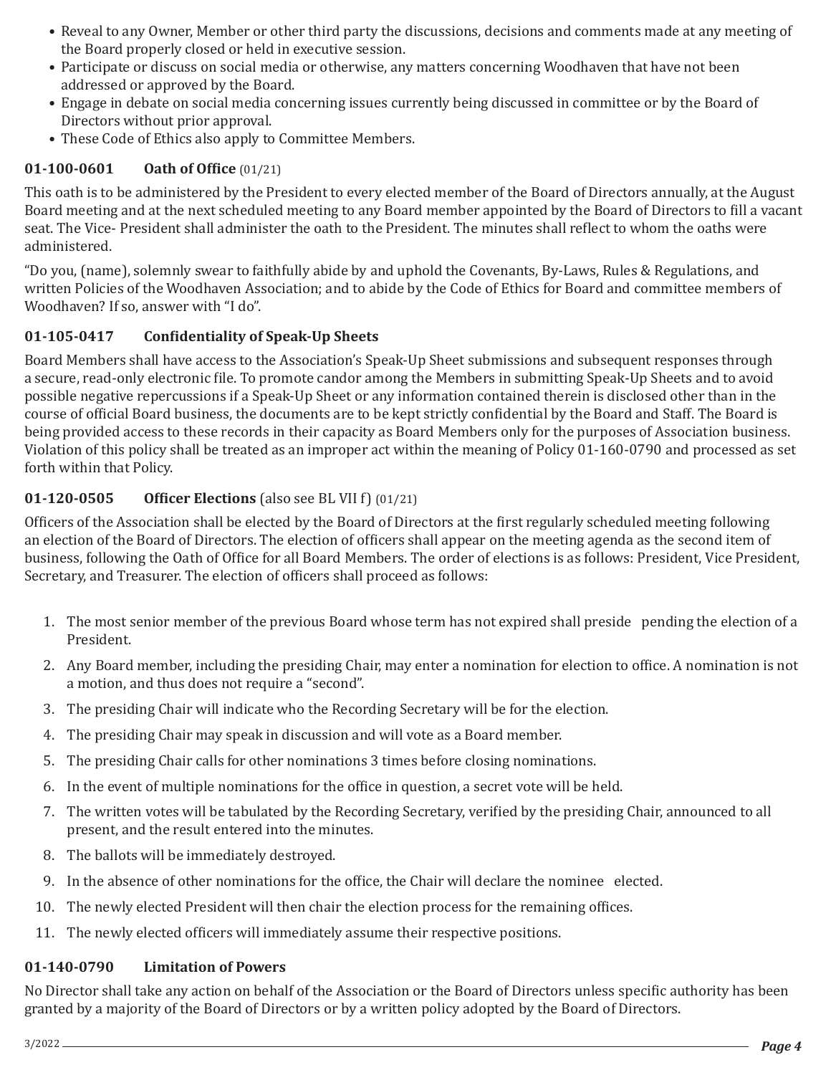- Reveal to any Owner, Member or other third party the discussions, decisions and comments made at any meeting of the Board properly closed or held in executive session.
- Participate or discuss on social media or otherwise, any matters concerning Woodhaven that have not been addressed or approved by the Board.
- Engage in debate on social media concerning issues currently being discussed in committee or by the Board of Directors without prior approval.
- These Code of Ethics also apply to Committee Members.

# **01-100-0601 Oath of Office** (01/21)

This oath is to be administered by the President to every elected member of the Board of Directors annually, at the August Board meeting and at the next scheduled meeting to any Board member appointed by the Board of Directors to fill a vacant seat. The Vice- President shall administer the oath to the President. The minutes shall reflect to whom the oaths were administered.

"Do you, (name), solemnly swear to faithfully abide by and uphold the Covenants, By-Laws, Rules & Regulations, and written Policies of the Woodhaven Association; and to abide by the Code of Ethics for Board and committee members of Woodhaven? If so, answer with "I do".

## **01-105-0417 Confidentiality of Speak-Up Sheets**

Board Members shall have access to the Association's Speak-Up Sheet submissions and subsequent responses through a secure, read-only electronic file. To promote candor among the Members in submitting Speak-Up Sheets and to avoid possible negative repercussions if a Speak-Up Sheet or any information contained therein is disclosed other than in the course of official Board business, the documents are to be kept strictly confidential by the Board and Staff. The Board is being provided access to these records in their capacity as Board Members only for the purposes of Association business. Violation of this policy shall be treated as an improper act within the meaning of Policy 01-160-0790 and processed as set forth within that Policy.

## **01-120-0505 Officer Elections** (also see BL VII f) (01/21)

Officers of the Association shall be elected by the Board of Directors at the first regularly scheduled meeting following an election of the Board of Directors. The election of officers shall appear on the meeting agenda as the second item of business, following the Oath of Office for all Board Members. The order of elections is as follows: President, Vice President, Secretary, and Treasurer. The election of officers shall proceed as follows:

- 1. The most senior member of the previous Board whose term has not expired shall preside pending the election of a President.
- 2. Any Board member, including the presiding Chair, may enter a nomination for election to office. A nomination is not a motion, and thus does not require a "second".
- 3. The presiding Chair will indicate who the Recording Secretary will be for the election.
- 4. The presiding Chair may speak in discussion and will vote as a Board member.
- 5. The presiding Chair calls for other nominations 3 times before closing nominations.
- 6. In the event of multiple nominations for the office in question, a secret vote will be held.
- 7. The written votes will be tabulated by the Recording Secretary, verified by the presiding Chair, announced to all present, and the result entered into the minutes.
- 8. The ballots will be immediately destroyed.
- 9. In the absence of other nominations for the office, the Chair will declare the nominee elected.
- 10. The newly elected President will then chair the election process for the remaining offices.
- 11. The newly elected officers will immediately assume their respective positions.

## **01-140-0790 Limitation of Powers**

No Director shall take any action on behalf of the Association or the Board of Directors unless specific authority has been granted by a majority of the Board of Directors or by a written policy adopted by the Board of Directors.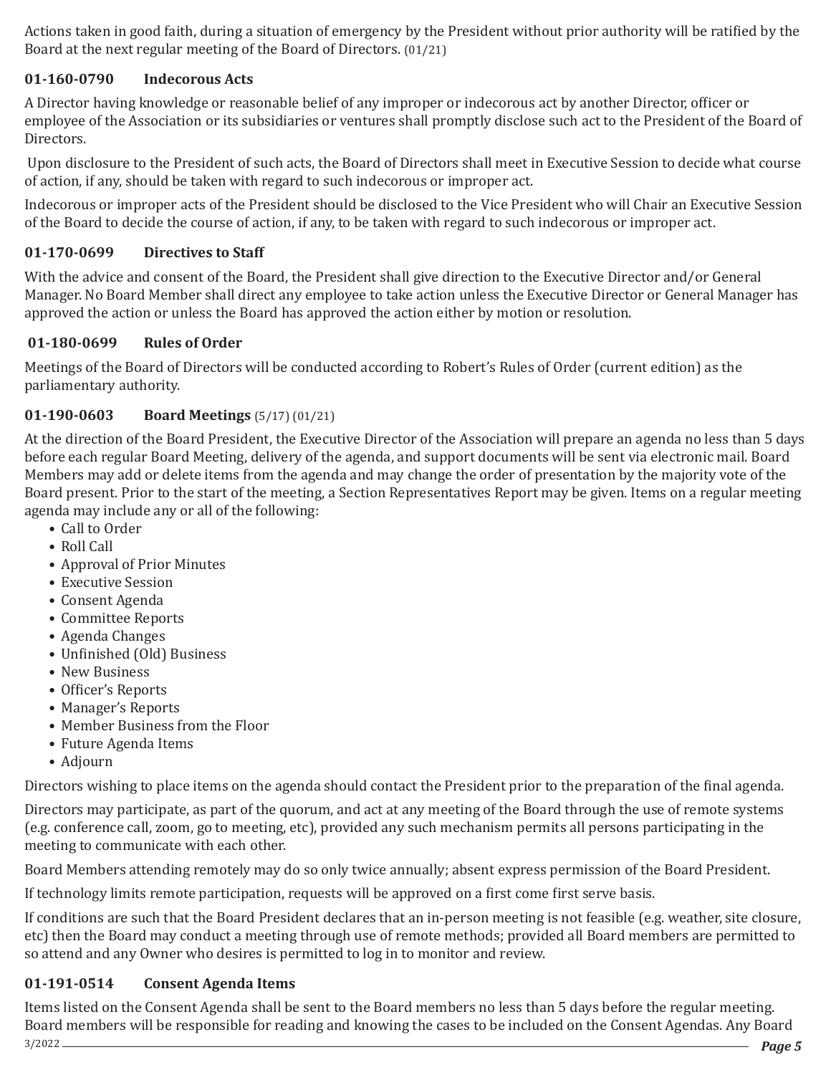Actions taken in good faith, during a situation of emergency by the President without prior authority will be ratified by the Board at the next regular meeting of the Board of Directors. (01/21)

## **01-160-0790 Indecorous Acts**

A Director having knowledge or reasonable belief of any improper or indecorous act by another Director, officer or employee of the Association or its subsidiaries or ventures shall promptly disclose such act to the President of the Board of Directors.

 Upon disclosure to the President of such acts, the Board of Directors shall meet in Executive Session to decide what course of action, if any, should be taken with regard to such indecorous or improper act.

Indecorous or improper acts of the President should be disclosed to the Vice President who will Chair an Executive Session of the Board to decide the course of action, if any, to be taken with regard to such indecorous or improper act.

## **01-170-0699 Directives to Staff**

With the advice and consent of the Board, the President shall give direction to the Executive Director and/or General Manager. No Board Member shall direct any employee to take action unless the Executive Director or General Manager has approved the action or unless the Board has approved the action either by motion or resolution.

## **01-180-0699 Rules of Order**

Meetings of the Board of Directors will be conducted according to Robert's Rules of Order (current edition) as the parliamentary authority.

## **01-190-0603 Board Meetings** (5/17) (01/21)

At the direction of the Board President, the Executive Director of the Association will prepare an agenda no less than 5 days before each regular Board Meeting, delivery of the agenda, and support documents will be sent via electronic mail. Board Members may add or delete items from the agenda and may change the order of presentation by the majority vote of the Board present. Prior to the start of the meeting, a Section Representatives Report may be given. Items on a regular meeting agenda may include any or all of the following:

- Call to Order
- Roll Call
- Approval of Prior Minutes
- Executive Session
- Consent Agenda
- Committee Reports
- Agenda Changes
- Unfinished (Old) Business
- New Business
- Officer's Reports
- Manager's Reports
- Member Business from the Floor
- Future Agenda Items
- Adjourn

Directors wishing to place items on the agenda should contact the President prior to the preparation of the final agenda.

Directors may participate, as part of the quorum, and act at any meeting of the Board through the use of remote systems (e.g. conference call, zoom, go to meeting, etc), provided any such mechanism permits all persons participating in the meeting to communicate with each other.

Board Members attending remotely may do so only twice annually; absent express permission of the Board President.

If technology limits remote participation, requests will be approved on a first come first serve basis.

If conditions are such that the Board President declares that an in-person meeting is not feasible (e.g. weather, site closure, etc) then the Board may conduct a meeting through use of remote methods; provided all Board members are permitted to so attend and any Owner who desires is permitted to log in to monitor and review.

### **01-191-0514 Consent Agenda Items**

*Page 5* 3/2022 Items listed on the Consent Agenda shall be sent to the Board members no less than 5 days before the regular meeting. Board members will be responsible for reading and knowing the cases to be included on the Consent Agendas. Any Board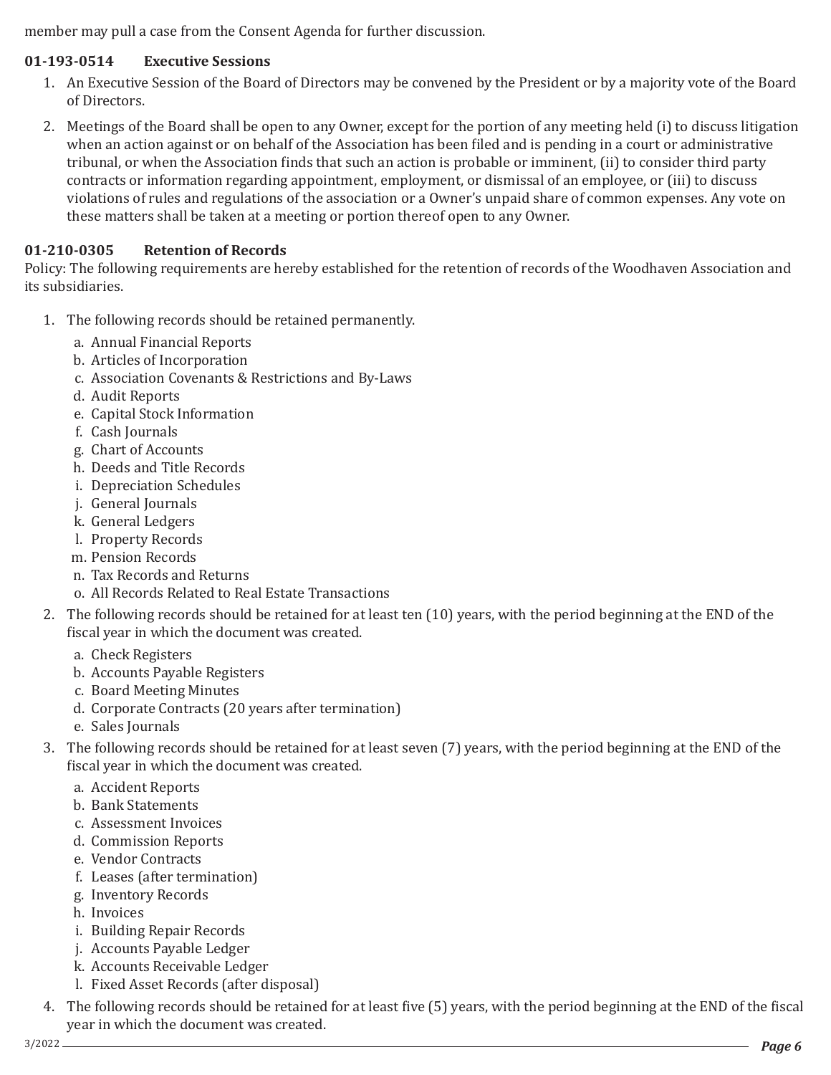member may pull a case from the Consent Agenda for further discussion.

## **01-193-0514 Executive Sessions**

- 1. An Executive Session of the Board of Directors may be convened by the President or by a majority vote of the Board of Directors.
- 2. Meetings of the Board shall be open to any Owner, except for the portion of any meeting held (i) to discuss litigation when an action against or on behalf of the Association has been filed and is pending in a court or administrative tribunal, or when the Association finds that such an action is probable or imminent, (ii) to consider third party contracts or information regarding appointment, employment, or dismissal of an employee, or (iii) to discuss violations of rules and regulations of the association or a Owner's unpaid share of common expenses. Any vote on these matters shall be taken at a meeting or portion thereof open to any Owner.

## **01-210-0305 Retention of Records**

Policy: The following requirements are hereby established for the retention of records of the Woodhaven Association and its subsidiaries.

- 1. The following records should be retained permanently.
	- a. Annual Financial Reports
	- b. Articles of Incorporation
	- c. Association Covenants & Restrictions and By-Laws
	- d. Audit Reports
	- e. Capital Stock Information
	- f. Cash Journals
	- g. Chart of Accounts
	- h. Deeds and Title Records
	- i. Depreciation Schedules
	- j. General Journals
	- k. General Ledgers
	- l. Property Records
	- m. Pension Records
	- n. Tax Records and Returns
	- o. All Records Related to Real Estate Transactions
- 2. The following records should be retained for at least ten (10) years, with the period beginning at the END of the fiscal year in which the document was created.
	- a. Check Registers
	- b. Accounts Payable Registers
	- c. Board Meeting Minutes
	- d. Corporate Contracts (20 years after termination)
	- e. Sales Journals
- 3. The following records should be retained for at least seven (7) years, with the period beginning at the END of the fiscal year in which the document was created.
	- a. Accident Reports
	- b. Bank Statements
	- c. Assessment Invoices
	- d. Commission Reports
	- e. Vendor Contracts
	- f. Leases (after termination)
	- g. Inventory Records
	- h. Invoices
	- i. Building Repair Records
	- j. Accounts Payable Ledger
	- k. Accounts Receivable Ledger
	- l. Fixed Asset Records (after disposal)
- 4. The following records should be retained for at least five (5) years, with the period beginning at the END of the fiscal year in which the document was created.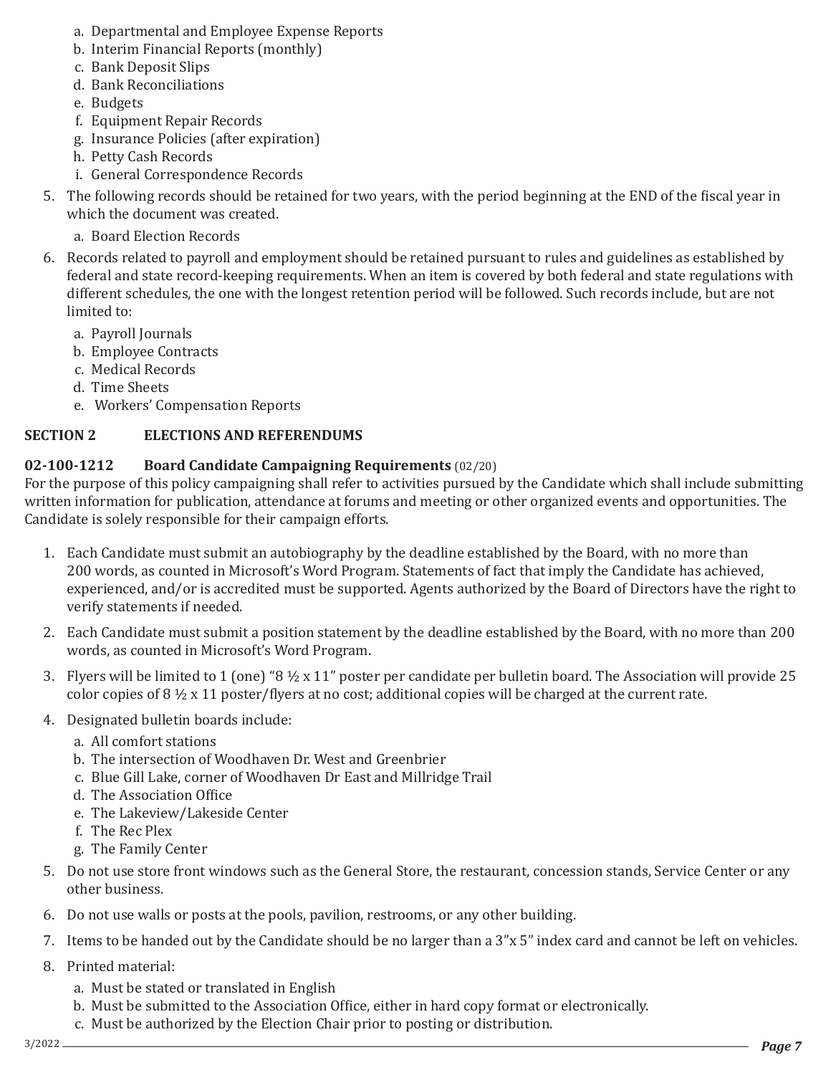- a. Departmental and Employee Expense Reports
- b. Interim Financial Reports (monthly)
- c. Bank Deposit Slips
- d. Bank Reconciliations
- e. Budgets
- f. Equipment Repair Records
- g. Insurance Policies (after expiration)
- h. Petty Cash Records
- i. General Correspondence Records
- 5. The following records should be retained for two years, with the period beginning at the END of the fiscal year in which the document was created.
	- a. Board Election Records
- 6. Records related to payroll and employment should be retained pursuant to rules and guidelines as established by federal and state record-keeping requirements. When an item is covered by both federal and state regulations with different schedules, the one with the longest retention period will be followed. Such records include, but are not limited to:
	- a. Payroll Journals
	- b. Employee Contracts
	- c. Medical Records
	- d. Time Sheets
	- e. Workers' Compensation Reports

### **SECTION 2 ELECTIONS AND REFERENDUMS**

### **02-100-1212 Board Candidate Campaigning Requirements** (02/20)

For the purpose of this policy campaigning shall refer to activities pursued by the Candidate which shall include submitting written information for publication, attendance at forums and meeting or other organized events and opportunities. The Candidate is solely responsible for their campaign efforts.

- 1. Each Candidate must submit an autobiography by the deadline established by the Board, with no more than 200 words, as counted in Microsoft's Word Program. Statements of fact that imply the Candidate has achieved, experienced, and/or is accredited must be supported. Agents authorized by the Board of Directors have the right to verify statements if needed.
- 2. Each Candidate must submit a position statement by the deadline established by the Board, with no more than 200 words, as counted in Microsoft's Word Program.
- 3. Flyers will be limited to 1 (one) "8 ½ x 11" poster per candidate per bulletin board. The Association will provide 25 color copies of 8 ½ x 11 poster/flyers at no cost; additional copies will be charged at the current rate.
- 4. Designated bulletin boards include:
	- a. All comfort stations
	- b. The intersection of Woodhaven Dr. West and Greenbrier
	- c. Blue Gill Lake, corner of Woodhaven Dr East and Millridge Trail
	- d. The Association Office
	- e. The Lakeview/Lakeside Center
	- f. The Rec Plex
	- g. The Family Center
- 5. Do not use store front windows such as the General Store, the restaurant, concession stands, Service Center or any other business.
- 6. Do not use walls or posts at the pools, pavilion, restrooms, or any other building.
- 7. Items to be handed out by the Candidate should be no larger than a 3"x 5" index card and cannot be left on vehicles.
- 8. Printed material:
	- a. Must be stated or translated in English
	- b. Must be submitted to the Association Office, either in hard copy format or electronically.
	- c. Must be authorized by the Election Chair prior to posting or distribution.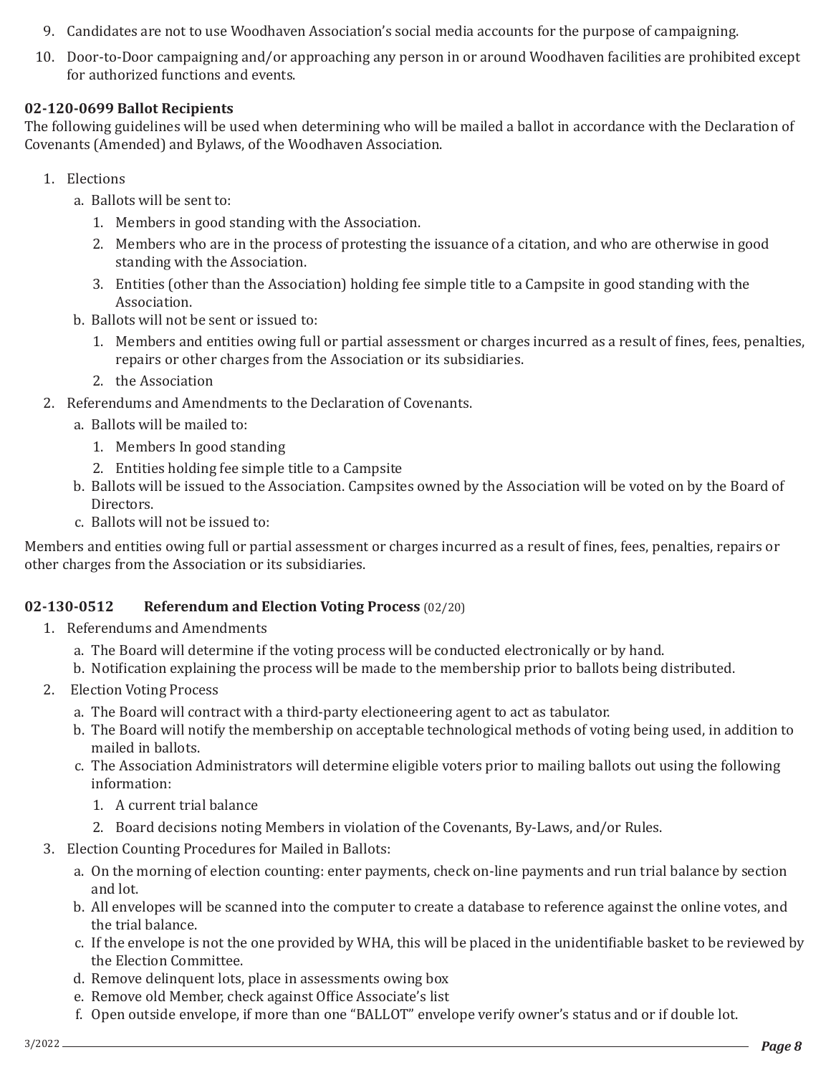- 9. Candidates are not to use Woodhaven Association's social media accounts for the purpose of campaigning.
- 10. Door-to-Door campaigning and/or approaching any person in or around Woodhaven facilities are prohibited except for authorized functions and events.

## **02-120-0699 Ballot Recipients**

The following guidelines will be used when determining who will be mailed a ballot in accordance with the Declaration of Covenants (Amended) and Bylaws, of the Woodhaven Association.

- 1. Elections
	- a. Ballots will be sent to:
		- 1. Members in good standing with the Association.
		- 2. Members who are in the process of protesting the issuance of a citation, and who are otherwise in good standing with the Association.
		- 3. Entities (other than the Association) holding fee simple title to a Campsite in good standing with the Association.
	- b. Ballots will not be sent or issued to:
		- 1. Members and entities owing full or partial assessment or charges incurred as a result of fines, fees, penalties, repairs or other charges from the Association or its subsidiaries.
		- 2. the Association
- 2. Referendums and Amendments to the Declaration of Covenants.
	- a. Ballots will be mailed to:
		- 1. Members In good standing
		- 2. Entities holding fee simple title to a Campsite
	- b. Ballots will be issued to the Association. Campsites owned by the Association will be voted on by the Board of Directors.
	- c. Ballots will not be issued to:

Members and entities owing full or partial assessment or charges incurred as a result of fines, fees, penalties, repairs or other charges from the Association or its subsidiaries.

### **02-130-0512 Referendum and Election Voting Process** (02/20)

- 1. Referendums and Amendments
	- a. The Board will determine if the voting process will be conducted electronically or by hand.
	- b. Notification explaining the process will be made to the membership prior to ballots being distributed.
- 2. Election Voting Process
	- a. The Board will contract with a third-party electioneering agent to act as tabulator.
	- b. The Board will notify the membership on acceptable technological methods of voting being used, in addition to mailed in ballots.
	- c. The Association Administrators will determine eligible voters prior to mailing ballots out using the following information:
		- 1. A current trial balance
		- 2. Board decisions noting Members in violation of the Covenants, By-Laws, and/or Rules.
- 3. Election Counting Procedures for Mailed in Ballots:
	- a. On the morning of election counting: enter payments, check on-line payments and run trial balance by section and lot.
	- b. All envelopes will be scanned into the computer to create a database to reference against the online votes, and the trial balance.
	- c. If the envelope is not the one provided by WHA, this will be placed in the unidentifiable basket to be reviewed by the Election Committee.
	- d. Remove delinquent lots, place in assessments owing box
	- e. Remove old Member, check against Office Associate's list
	- f. Open outside envelope, if more than one "BALLOT" envelope verify owner's status and or if double lot.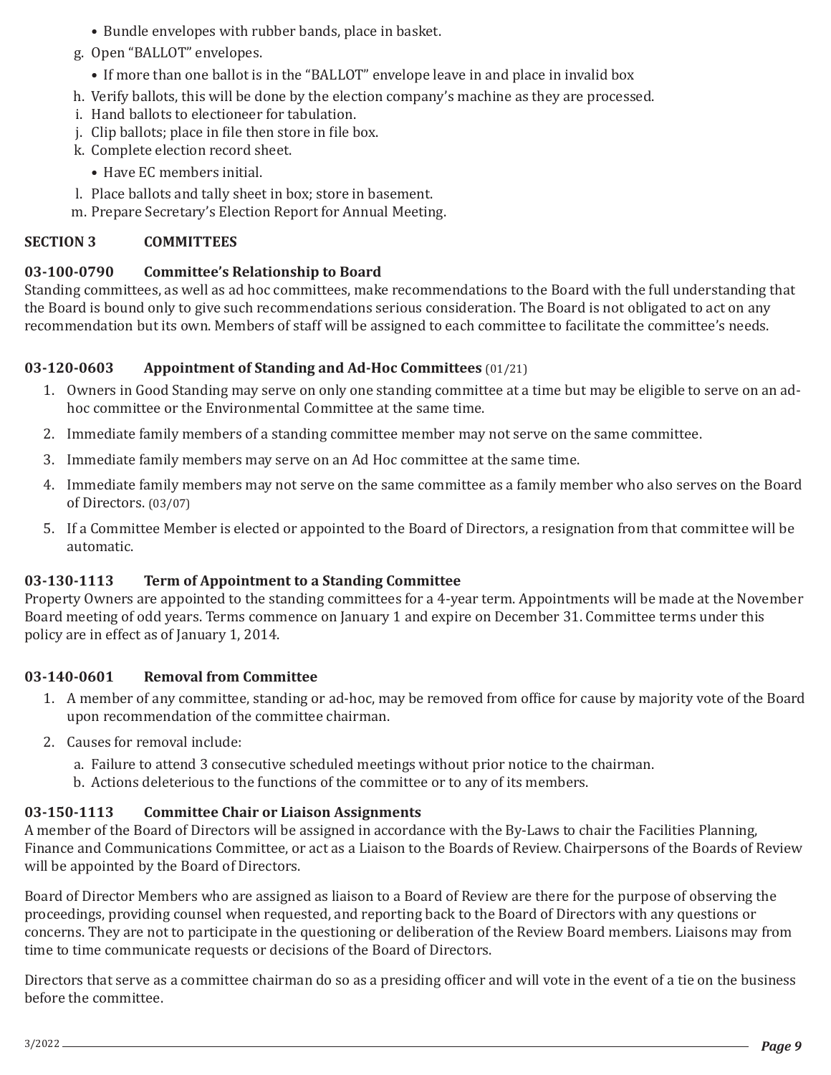- Bundle envelopes with rubber bands, place in basket.
- g. Open "BALLOT" envelopes.
	- If more than one ballot is in the "BALLOT" envelope leave in and place in invalid box
- h. Verify ballots, this will be done by the election company's machine as they are processed.
- i. Hand ballots to electioneer for tabulation.
- j. Clip ballots; place in file then store in file box.
- k. Complete election record sheet.
	- Have EC members initial.
- l. Place ballots and tally sheet in box; store in basement.
- m. Prepare Secretary's Election Report for Annual Meeting.

## **SECTION 3 COMMITTEES**

## **03-100-0790 Committee's Relationship to Board**

Standing committees, as well as ad hoc committees, make recommendations to the Board with the full understanding that the Board is bound only to give such recommendations serious consideration. The Board is not obligated to act on any recommendation but its own. Members of staff will be assigned to each committee to facilitate the committee's needs.

## **03-120-0603 Appointment of Standing and Ad-Hoc Committees** (01/21)

- 1. Owners in Good Standing may serve on only one standing committee at a time but may be eligible to serve on an adhoc committee or the Environmental Committee at the same time.
- 2. Immediate family members of a standing committee member may not serve on the same committee.
- 3. Immediate family members may serve on an Ad Hoc committee at the same time.
- 4. Immediate family members may not serve on the same committee as a family member who also serves on the Board of Directors. (03/07)
- 5. If a Committee Member is elected or appointed to the Board of Directors, a resignation from that committee will be automatic.

## **03-130-1113 Term of Appointment to a Standing Committee**

Property Owners are appointed to the standing committees for a 4-year term. Appointments will be made at the November Board meeting of odd years. Terms commence on January 1 and expire on December 31. Committee terms under this policy are in effect as of January 1, 2014.

## **03-140-0601 Removal from Committee**

- 1. A member of any committee, standing or ad-hoc, may be removed from office for cause by majority vote of the Board upon recommendation of the committee chairman.
- 2. Causes for removal include:
	- a. Failure to attend 3 consecutive scheduled meetings without prior notice to the chairman.
	- b. Actions deleterious to the functions of the committee or to any of its members.

# **03-150-1113 Committee Chair or Liaison Assignments**

A member of the Board of Directors will be assigned in accordance with the By-Laws to chair the Facilities Planning, Finance and Communications Committee, or act as a Liaison to the Boards of Review. Chairpersons of the Boards of Review will be appointed by the Board of Directors.

Board of Director Members who are assigned as liaison to a Board of Review are there for the purpose of observing the proceedings, providing counsel when requested, and reporting back to the Board of Directors with any questions or concerns. They are not to participate in the questioning or deliberation of the Review Board members. Liaisons may from time to time communicate requests or decisions of the Board of Directors.

Directors that serve as a committee chairman do so as a presiding officer and will vote in the event of a tie on the business before the committee.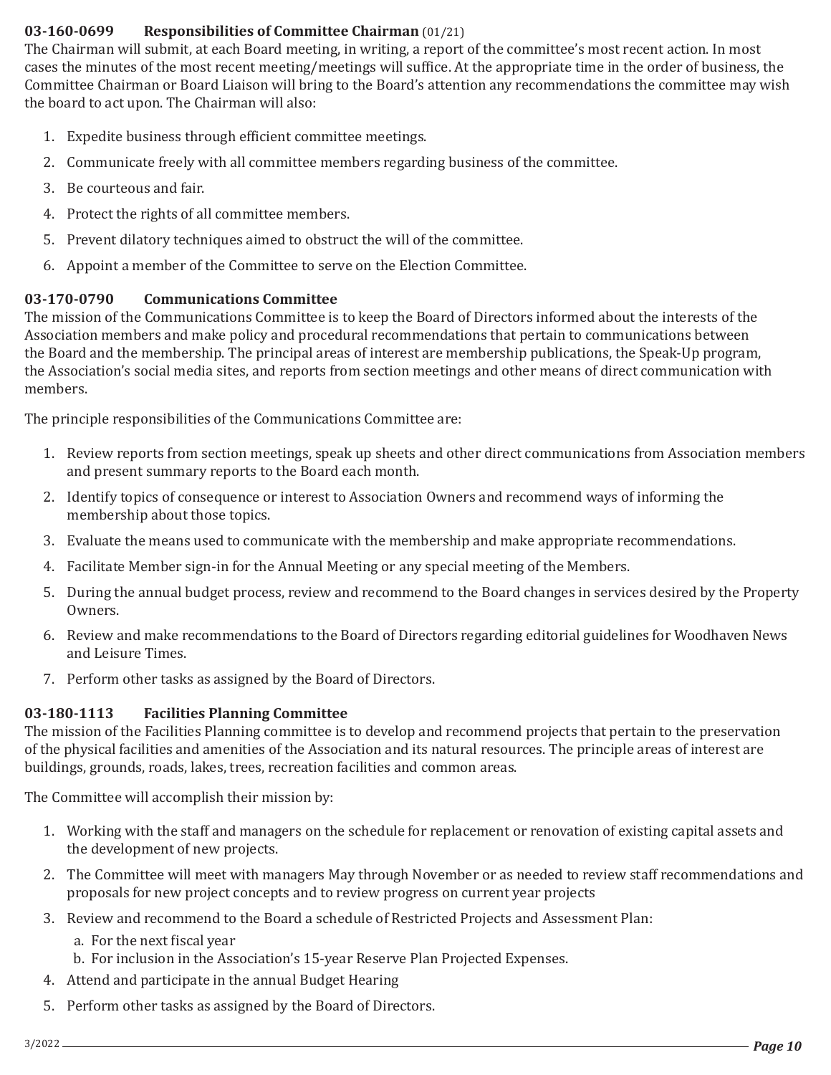## **03-160-0699 Responsibilities of Committee Chairman** (01/21)

The Chairman will submit, at each Board meeting, in writing, a report of the committee's most recent action. In most cases the minutes of the most recent meeting/meetings will suffice. At the appropriate time in the order of business, the Committee Chairman or Board Liaison will bring to the Board's attention any recommendations the committee may wish the board to act upon. The Chairman will also:

- 1. Expedite business through efficient committee meetings.
- 2. Communicate freely with all committee members regarding business of the committee.
- 3. Be courteous and fair.
- 4. Protect the rights of all committee members.
- 5. Prevent dilatory techniques aimed to obstruct the will of the committee.
- 6. Appoint a member of the Committee to serve on the Election Committee.

# **03-170-0790 Communications Committee**

The mission of the Communications Committee is to keep the Board of Directors informed about the interests of the Association members and make policy and procedural recommendations that pertain to communications between the Board and the membership. The principal areas of interest are membership publications, the Speak-Up program, the Association's social media sites, and reports from section meetings and other means of direct communication with members.

The principle responsibilities of the Communications Committee are:

- 1. Review reports from section meetings, speak up sheets and other direct communications from Association members and present summary reports to the Board each month.
- 2. Identify topics of consequence or interest to Association Owners and recommend ways of informing the membership about those topics.
- 3. Evaluate the means used to communicate with the membership and make appropriate recommendations.
- 4. Facilitate Member sign-in for the Annual Meeting or any special meeting of the Members.
- 5. During the annual budget process, review and recommend to the Board changes in services desired by the Property Owners.
- 6. Review and make recommendations to the Board of Directors regarding editorial guidelines for Woodhaven News and Leisure Times.
- 7. Perform other tasks as assigned by the Board of Directors.

# **03-180-1113 Facilities Planning Committee**

The mission of the Facilities Planning committee is to develop and recommend projects that pertain to the preservation of the physical facilities and amenities of the Association and its natural resources. The principle areas of interest are buildings, grounds, roads, lakes, trees, recreation facilities and common areas.

The Committee will accomplish their mission by:

- 1. Working with the staff and managers on the schedule for replacement or renovation of existing capital assets and the development of new projects.
- 2. The Committee will meet with managers May through November or as needed to review staff recommendations and proposals for new project concepts and to review progress on current year projects
- 3. Review and recommend to the Board a schedule of Restricted Projects and Assessment Plan:
	- a. For the next fiscal year
	- b. For inclusion in the Association's 15-year Reserve Plan Projected Expenses.
- 4. Attend and participate in the annual Budget Hearing
- 5. Perform other tasks as assigned by the Board of Directors.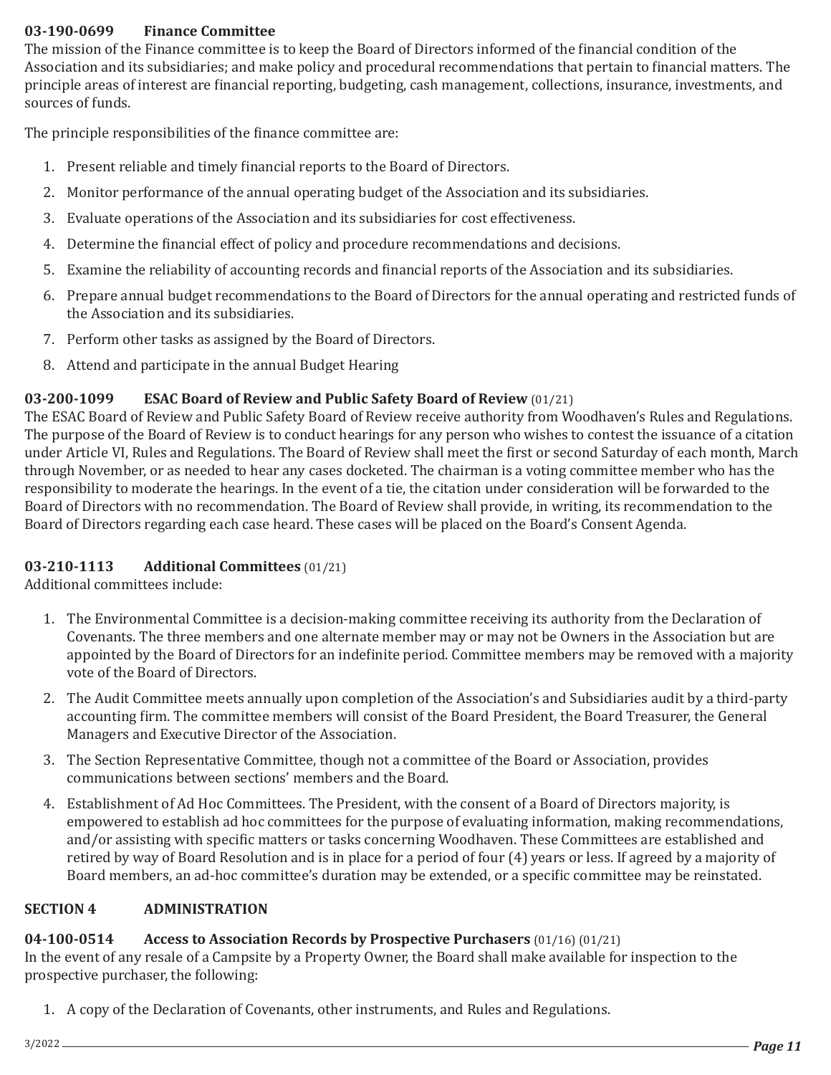## **03-190-0699 Finance Committee**

The mission of the Finance committee is to keep the Board of Directors informed of the financial condition of the Association and its subsidiaries; and make policy and procedural recommendations that pertain to financial matters. The principle areas of interest are financial reporting, budgeting, cash management, collections, insurance, investments, and sources of funds.

The principle responsibilities of the finance committee are:

- 1. Present reliable and timely financial reports to the Board of Directors.
- 2. Monitor performance of the annual operating budget of the Association and its subsidiaries.
- 3. Evaluate operations of the Association and its subsidiaries for cost effectiveness.
- 4. Determine the financial effect of policy and procedure recommendations and decisions.
- 5. Examine the reliability of accounting records and financial reports of the Association and its subsidiaries.
- 6. Prepare annual budget recommendations to the Board of Directors for the annual operating and restricted funds of the Association and its subsidiaries.
- 7. Perform other tasks as assigned by the Board of Directors.
- 8. Attend and participate in the annual Budget Hearing

### **03-200-1099 ESAC Board of Review and Public Safety Board of Review** (01/21)

The ESAC Board of Review and Public Safety Board of Review receive authority from Woodhaven's Rules and Regulations. The purpose of the Board of Review is to conduct hearings for any person who wishes to contest the issuance of a citation under Article VI, Rules and Regulations. The Board of Review shall meet the first or second Saturday of each month, March through November, or as needed to hear any cases docketed. The chairman is a voting committee member who has the responsibility to moderate the hearings. In the event of a tie, the citation under consideration will be forwarded to the Board of Directors with no recommendation. The Board of Review shall provide, in writing, its recommendation to the Board of Directors regarding each case heard. These cases will be placed on the Board's Consent Agenda.

### **03-210-1113 Additional Committees** (01/21)

Additional committees include:

- 1. The Environmental Committee is a decision-making committee receiving its authority from the Declaration of Covenants. The three members and one alternate member may or may not be Owners in the Association but are appointed by the Board of Directors for an indefinite period. Committee members may be removed with a majority vote of the Board of Directors.
- 2. The Audit Committee meets annually upon completion of the Association's and Subsidiaries audit by a third-party accounting firm. The committee members will consist of the Board President, the Board Treasurer, the General Managers and Executive Director of the Association.
- 3. The Section Representative Committee, though not a committee of the Board or Association, provides communications between sections' members and the Board.
- 4. Establishment of Ad Hoc Committees. The President, with the consent of a Board of Directors majority, is empowered to establish ad hoc committees for the purpose of evaluating information, making recommendations, and/or assisting with specific matters or tasks concerning Woodhaven. These Committees are established and retired by way of Board Resolution and is in place for a period of four (4) years or less. If agreed by a majority of Board members, an ad-hoc committee's duration may be extended, or a specific committee may be reinstated.

#### **SECTION 4 ADMINISTRATION**

### **04-100-0514 Access to Association Records by Prospective Purchasers** (01/16) (01/21)

In the event of any resale of a Campsite by a Property Owner, the Board shall make available for inspection to the prospective purchaser, the following:

1. A copy of the Declaration of Covenants, other instruments, and Rules and Regulations.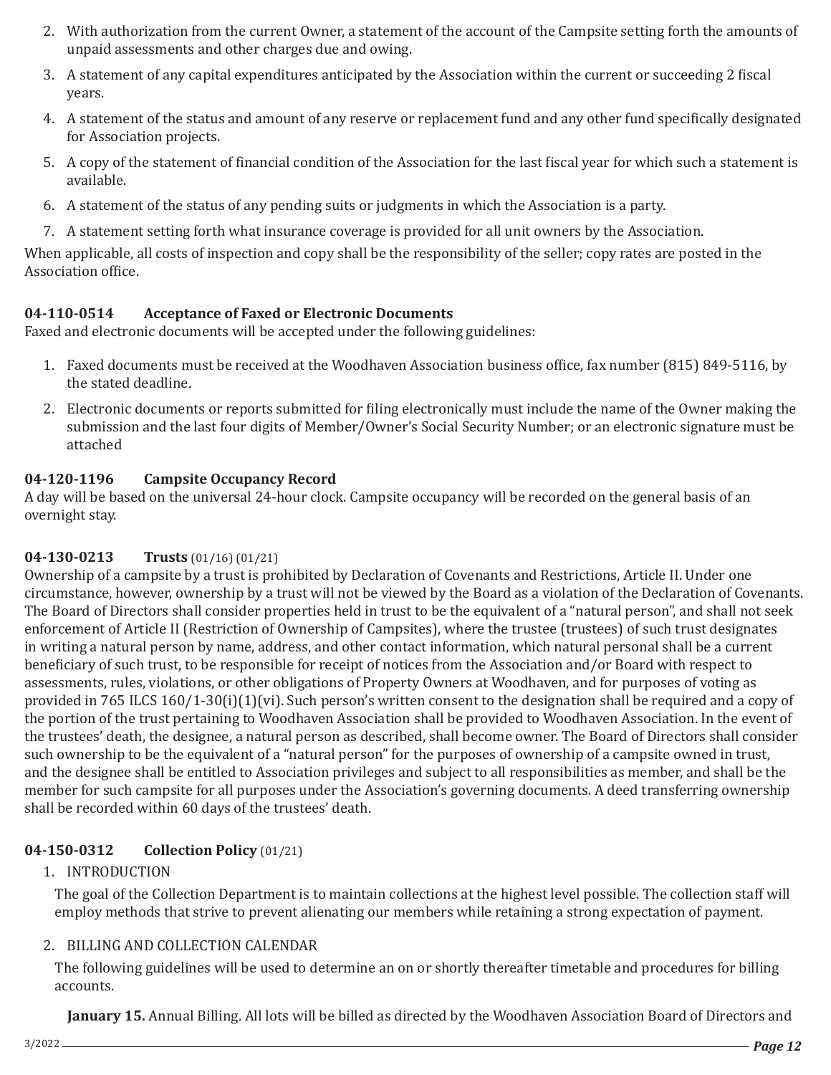- 2. With authorization from the current Owner, a statement of the account of the Campsite setting forth the amounts of unpaid assessments and other charges due and owing.
- 3. A statement of any capital expenditures anticipated by the Association within the current or succeeding 2 fiscal years.
- 4. A statement of the status and amount of any reserve or replacement fund and any other fund specifically designated for Association projects.
- 5. A copy of the statement of financial condition of the Association for the last fiscal year for which such a statement is available.
- 6. A statement of the status of any pending suits or judgments in which the Association is a party.
- 7. A statement setting forth what insurance coverage is provided for all unit owners by the Association.

When applicable, all costs of inspection and copy shall be the responsibility of the seller; copy rates are posted in the Association office.

## **04-110-0514 Acceptance of Faxed or Electronic Documents**

Faxed and electronic documents will be accepted under the following guidelines:

- 1. Faxed documents must be received at the Woodhaven Association business office, fax number (815) 849-5116, by the stated deadline.
- 2. Electronic documents or reports submitted for filing electronically must include the name of the Owner making the submission and the last four digits of Member/Owner's Social Security Number; or an electronic signature must be attached

## **04-120-1196 Campsite Occupancy Record**

A day will be based on the universal 24-hour clock. Campsite occupancy will be recorded on the general basis of an overnight stay.

## **04-130-0213 Trusts** (01/16) (01/21)

Ownership of a campsite by a trust is prohibited by Declaration of Covenants and Restrictions, Article II. Under one circumstance, however, ownership by a trust will not be viewed by the Board as a violation of the Declaration of Covenants. The Board of Directors shall consider properties held in trust to be the equivalent of a "natural person", and shall not seek enforcement of Article II (Restriction of Ownership of Campsites), where the trustee (trustees) of such trust designates in writing a natural person by name, address, and other contact information, which natural personal shall be a current beneficiary of such trust, to be responsible for receipt of notices from the Association and/or Board with respect to assessments, rules, violations, or other obligations of Property Owners at Woodhaven, and for purposes of voting as provided in 765 ILCS 160/1-30(i)(1)(vi). Such person's written consent to the designation shall be required and a copy of the portion of the trust pertaining to Woodhaven Association shall be provided to Woodhaven Association. In the event of the trustees' death, the designee, a natural person as described, shall become owner. The Board of Directors shall consider such ownership to be the equivalent of a "natural person" for the purposes of ownership of a campsite owned in trust, and the designee shall be entitled to Association privileges and subject to all responsibilities as member, and shall be the member for such campsite for all purposes under the Association's governing documents. A deed transferring ownership shall be recorded within 60 days of the trustees' death.

## **04-150-0312 Collection Policy** (01/21)

### 1. INTRODUCTION

The goal of the Collection Department is to maintain collections at the highest level possible. The collection staff will employ methods that strive to prevent alienating our members while retaining a strong expectation of payment.

### 2. BILLING AND COLLECTION CALENDAR

The following guidelines will be used to determine an on or shortly thereafter timetable and procedures for billing accounts.

**January 15.** Annual Billing. All lots will be billed as directed by the Woodhaven Association Board of Directors and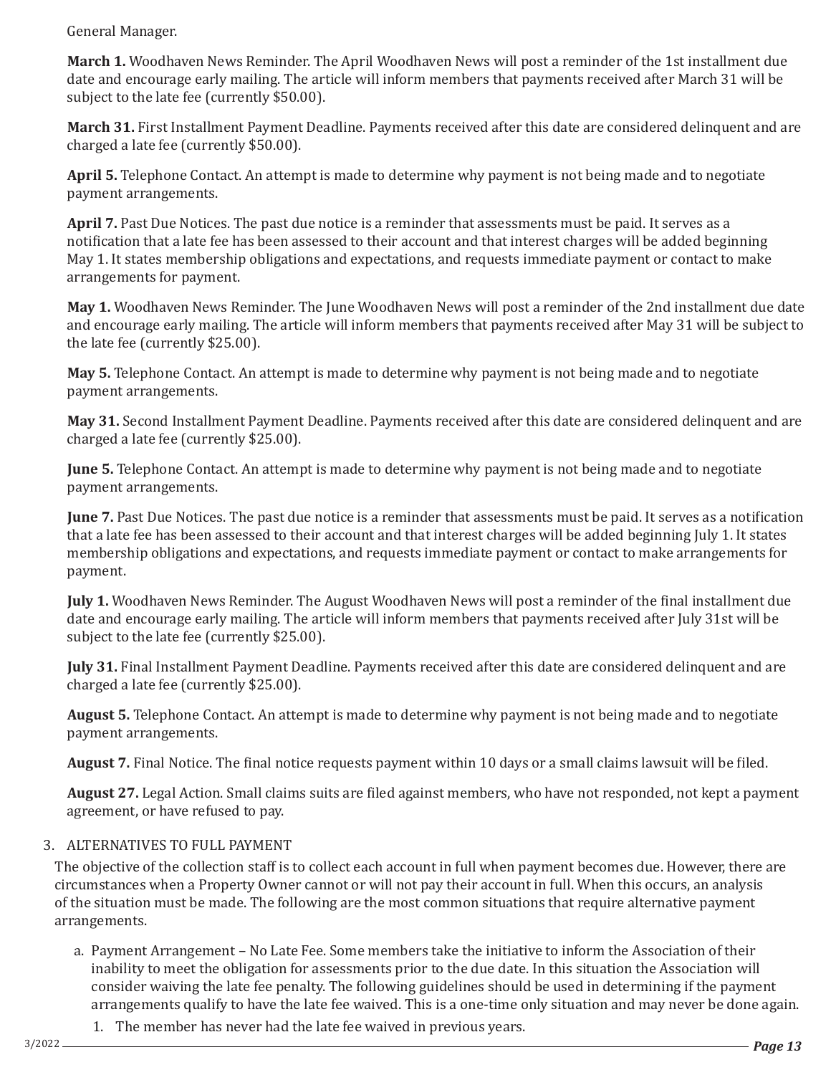General Manager.

**March 1.** Woodhaven News Reminder. The April Woodhaven News will post a reminder of the 1st installment due date and encourage early mailing. The article will inform members that payments received after March 31 will be subject to the late fee (currently \$50.00).

**March 31.** First Installment Payment Deadline. Payments received after this date are considered delinquent and are charged a late fee (currently \$50.00).

**April 5.** Telephone Contact. An attempt is made to determine why payment is not being made and to negotiate payment arrangements.

**April 7.** Past Due Notices. The past due notice is a reminder that assessments must be paid. It serves as a notification that a late fee has been assessed to their account and that interest charges will be added beginning May 1. It states membership obligations and expectations, and requests immediate payment or contact to make arrangements for payment.

**May 1.** Woodhaven News Reminder. The June Woodhaven News will post a reminder of the 2nd installment due date and encourage early mailing. The article will inform members that payments received after May 31 will be subject to the late fee (currently \$25.00).

**May 5.** Telephone Contact. An attempt is made to determine why payment is not being made and to negotiate payment arrangements.

**May 31.** Second Installment Payment Deadline. Payments received after this date are considered delinquent and are charged a late fee (currently \$25.00).

**June 5.** Telephone Contact. An attempt is made to determine why payment is not being made and to negotiate payment arrangements.

**June 7.** Past Due Notices. The past due notice is a reminder that assessments must be paid. It serves as a notification that a late fee has been assessed to their account and that interest charges will be added beginning July 1. It states membership obligations and expectations, and requests immediate payment or contact to make arrangements for payment.

**July 1.** Woodhaven News Reminder. The August Woodhaven News will post a reminder of the final installment due date and encourage early mailing. The article will inform members that payments received after July 31st will be subject to the late fee (currently \$25.00).

**July 31.** Final Installment Payment Deadline. Payments received after this date are considered delinquent and are charged a late fee (currently \$25.00).

**August 5.** Telephone Contact. An attempt is made to determine why payment is not being made and to negotiate payment arrangements.

**August 7.** Final Notice. The final notice requests payment within 10 days or a small claims lawsuit will be filed.

**August 27.** Legal Action. Small claims suits are filed against members, who have not responded, not kept a payment agreement, or have refused to pay.

## 3. ALTERNATIVES TO FULL PAYMENT

The objective of the collection staff is to collect each account in full when payment becomes due. However, there are circumstances when a Property Owner cannot or will not pay their account in full. When this occurs, an analysis of the situation must be made. The following are the most common situations that require alternative payment arrangements.

- a. Payment Arrangement No Late Fee. Some members take the initiative to inform the Association of their inability to meet the obligation for assessments prior to the due date. In this situation the Association will consider waiving the late fee penalty. The following guidelines should be used in determining if the payment arrangements qualify to have the late fee waived. This is a one-time only situation and may never be done again.
- 1. The member has never had the late fee waived in previous years.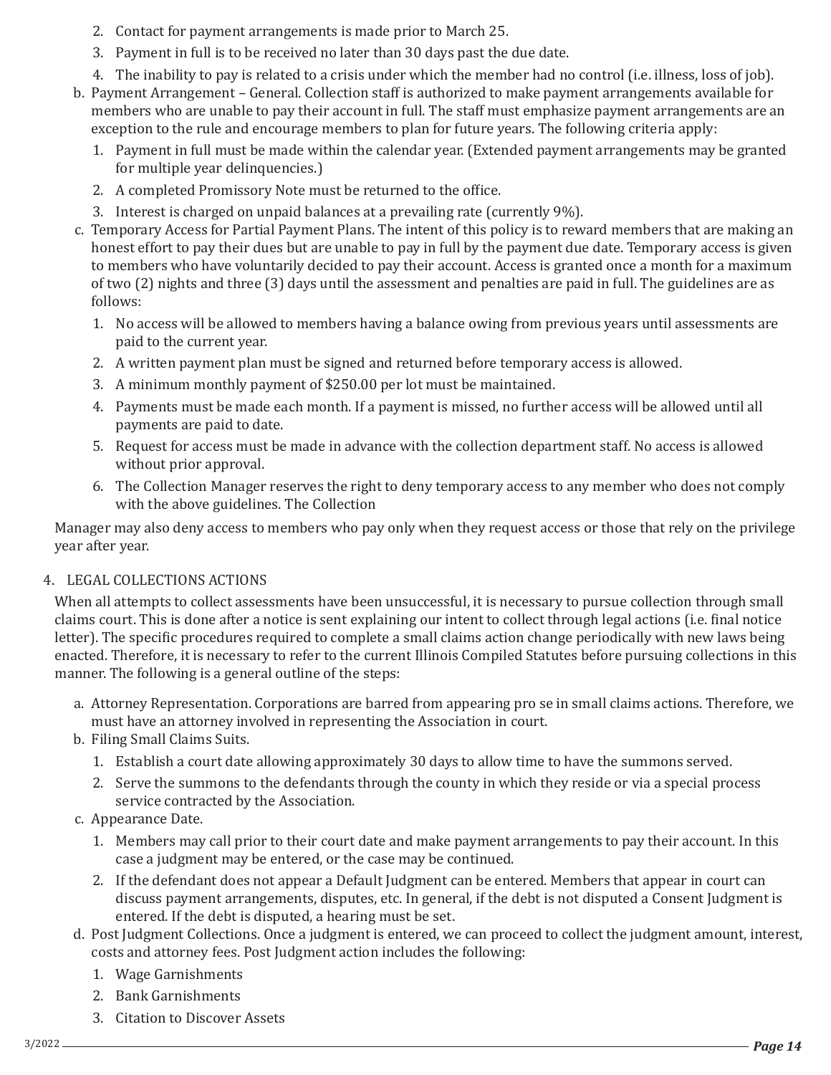- 2. Contact for payment arrangements is made prior to March 25.
- 3. Payment in full is to be received no later than 30 days past the due date.
- 4. The inability to pay is related to a crisis under which the member had no control (i.e. illness, loss of job).
- b. Payment Arrangement General. Collection staff is authorized to make payment arrangements available for members who are unable to pay their account in full. The staff must emphasize payment arrangements are an exception to the rule and encourage members to plan for future years. The following criteria apply:
	- 1. Payment in full must be made within the calendar year. (Extended payment arrangements may be granted for multiple year delinquencies.)
	- 2. A completed Promissory Note must be returned to the office.
	- 3. Interest is charged on unpaid balances at a prevailing rate (currently 9%).
- c. Temporary Access for Partial Payment Plans. The intent of this policy is to reward members that are making an honest effort to pay their dues but are unable to pay in full by the payment due date. Temporary access is given to members who have voluntarily decided to pay their account. Access is granted once a month for a maximum of two (2) nights and three (3) days until the assessment and penalties are paid in full. The guidelines are as follows:
	- 1. No access will be allowed to members having a balance owing from previous years until assessments are paid to the current year.
	- 2. A written payment plan must be signed and returned before temporary access is allowed.
	- 3. A minimum monthly payment of \$250.00 per lot must be maintained.
	- 4. Payments must be made each month. If a payment is missed, no further access will be allowed until all payments are paid to date.
	- 5. Request for access must be made in advance with the collection department staff. No access is allowed without prior approval.
	- 6. The Collection Manager reserves the right to deny temporary access to any member who does not comply with the above guidelines. The Collection

Manager may also deny access to members who pay only when they request access or those that rely on the privilege year after year.

## 4. LEGAL COLLECTIONS ACTIONS

When all attempts to collect assessments have been unsuccessful, it is necessary to pursue collection through small claims court. This is done after a notice is sent explaining our intent to collect through legal actions (i.e. final notice letter). The specific procedures required to complete a small claims action change periodically with new laws being enacted. Therefore, it is necessary to refer to the current Illinois Compiled Statutes before pursuing collections in this manner. The following is a general outline of the steps:

- a. Attorney Representation. Corporations are barred from appearing pro se in small claims actions. Therefore, we must have an attorney involved in representing the Association in court.
- b. Filing Small Claims Suits.
	- 1. Establish a court date allowing approximately 30 days to allow time to have the summons served.
	- 2. Serve the summons to the defendants through the county in which they reside or via a special process service contracted by the Association.
- c. Appearance Date.
	- 1. Members may call prior to their court date and make payment arrangements to pay their account. In this case a judgment may be entered, or the case may be continued.
	- 2. If the defendant does not appear a Default Judgment can be entered. Members that appear in court can discuss payment arrangements, disputes, etc. In general, if the debt is not disputed a Consent Judgment is entered. If the debt is disputed, a hearing must be set.
- d. Post Judgment Collections. Once a judgment is entered, we can proceed to collect the judgment amount, interest, costs and attorney fees. Post Judgment action includes the following:
	- 1. Wage Garnishments
	- 2. Bank Garnishments
	- 3. Citation to Discover Assets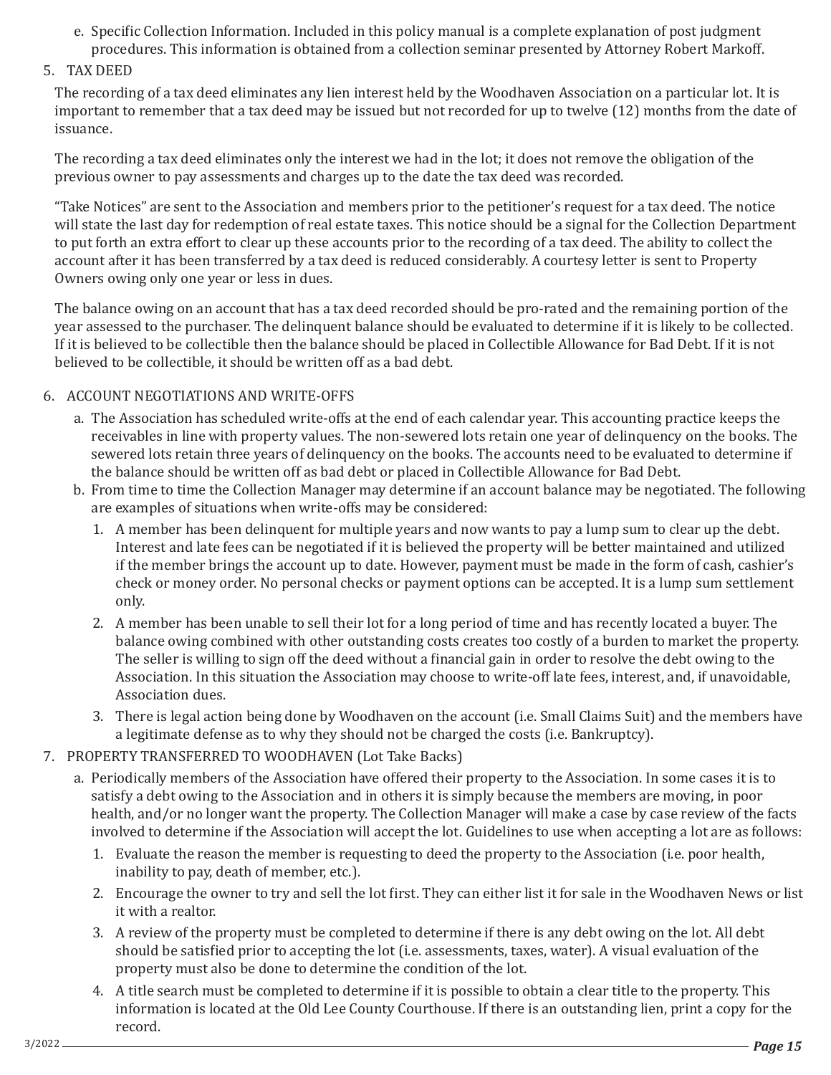- e. Specific Collection Information. Included in this policy manual is a complete explanation of post judgment procedures. This information is obtained from a collection seminar presented by Attorney Robert Markoff.
- 5. TAX DEED

The recording of a tax deed eliminates any lien interest held by the Woodhaven Association on a particular lot. It is important to remember that a tax deed may be issued but not recorded for up to twelve (12) months from the date of issuance.

The recording a tax deed eliminates only the interest we had in the lot; it does not remove the obligation of the previous owner to pay assessments and charges up to the date the tax deed was recorded.

"Take Notices" are sent to the Association and members prior to the petitioner's request for a tax deed. The notice will state the last day for redemption of real estate taxes. This notice should be a signal for the Collection Department to put forth an extra effort to clear up these accounts prior to the recording of a tax deed. The ability to collect the account after it has been transferred by a tax deed is reduced considerably. A courtesy letter is sent to Property Owners owing only one year or less in dues.

The balance owing on an account that has a tax deed recorded should be pro-rated and the remaining portion of the year assessed to the purchaser. The delinquent balance should be evaluated to determine if it is likely to be collected. If it is believed to be collectible then the balance should be placed in Collectible Allowance for Bad Debt. If it is not believed to be collectible, it should be written off as a bad debt.

## 6. ACCOUNT NEGOTIATIONS AND WRITE-OFFS

- a. The Association has scheduled write-offs at the end of each calendar year. This accounting practice keeps the receivables in line with property values. The non-sewered lots retain one year of delinquency on the books. The sewered lots retain three years of delinquency on the books. The accounts need to be evaluated to determine if the balance should be written off as bad debt or placed in Collectible Allowance for Bad Debt.
- b. From time to time the Collection Manager may determine if an account balance may be negotiated. The following are examples of situations when write-offs may be considered:
	- 1. A member has been delinquent for multiple years and now wants to pay a lump sum to clear up the debt. Interest and late fees can be negotiated if it is believed the property will be better maintained and utilized if the member brings the account up to date. However, payment must be made in the form of cash, cashier's check or money order. No personal checks or payment options can be accepted. It is a lump sum settlement only.
	- 2. A member has been unable to sell their lot for a long period of time and has recently located a buyer. The balance owing combined with other outstanding costs creates too costly of a burden to market the property. The seller is willing to sign off the deed without a financial gain in order to resolve the debt owing to the Association. In this situation the Association may choose to write-off late fees, interest, and, if unavoidable, Association dues.
	- 3. There is legal action being done by Woodhaven on the account (i.e. Small Claims Suit) and the members have a legitimate defense as to why they should not be charged the costs (i.e. Bankruptcy).

### 7. PROPERTY TRANSFERRED TO WOODHAVEN (Lot Take Backs)

- a. Periodically members of the Association have offered their property to the Association. In some cases it is to satisfy a debt owing to the Association and in others it is simply because the members are moving, in poor health, and/or no longer want the property. The Collection Manager will make a case by case review of the facts involved to determine if the Association will accept the lot. Guidelines to use when accepting a lot are as follows:
	- 1. Evaluate the reason the member is requesting to deed the property to the Association (i.e. poor health, inability to pay, death of member, etc.).
	- 2. Encourage the owner to try and sell the lot first. They can either list it for sale in the Woodhaven News or list it with a realtor.
	- 3. A review of the property must be completed to determine if there is any debt owing on the lot. All debt should be satisfied prior to accepting the lot (i.e. assessments, taxes, water). A visual evaluation of the property must also be done to determine the condition of the lot.
	- 4. A title search must be completed to determine if it is possible to obtain a clear title to the property. This information is located at the Old Lee County Courthouse. If there is an outstanding lien, print a copy for the record.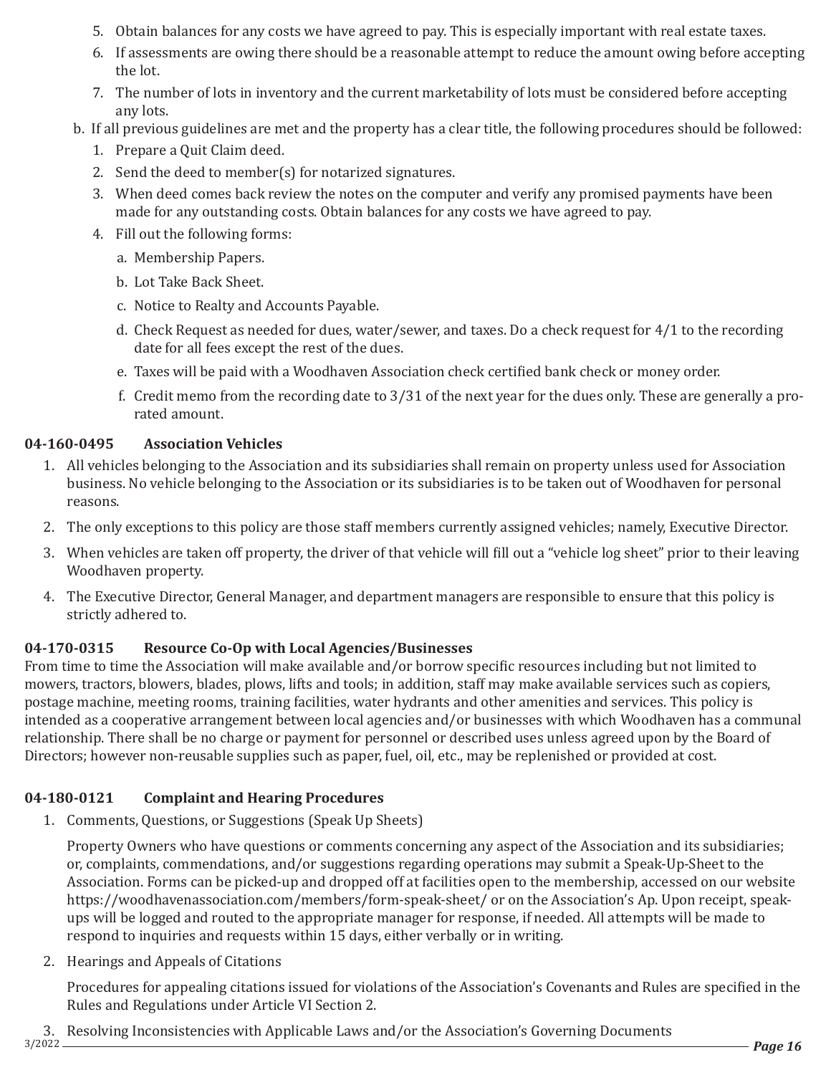- 5. Obtain balances for any costs we have agreed to pay. This is especially important with real estate taxes.
- 6. If assessments are owing there should be a reasonable attempt to reduce the amount owing before accepting the lot.
- 7. The number of lots in inventory and the current marketability of lots must be considered before accepting any lots.
- b. If all previous guidelines are met and the property has a clear title, the following procedures should be followed:
	- 1. Prepare a Quit Claim deed.
	- 2. Send the deed to member(s) for notarized signatures.
	- 3. When deed comes back review the notes on the computer and verify any promised payments have been made for any outstanding costs. Obtain balances for any costs we have agreed to pay.
	- 4. Fill out the following forms:
		- a. Membership Papers.
		- b. Lot Take Back Sheet.
		- c. Notice to Realty and Accounts Payable.
		- d. Check Request as needed for dues, water/sewer, and taxes. Do a check request for 4/1 to the recording date for all fees except the rest of the dues.
		- e. Taxes will be paid with a Woodhaven Association check certified bank check or money order.
		- f. Credit memo from the recording date to 3/31 of the next year for the dues only. These are generally a prorated amount.

## **04-160-0495 Association Vehicles**

- 1. All vehicles belonging to the Association and its subsidiaries shall remain on property unless used for Association business. No vehicle belonging to the Association or its subsidiaries is to be taken out of Woodhaven for personal reasons.
- 2. The only exceptions to this policy are those staff members currently assigned vehicles; namely, Executive Director.
- 3. When vehicles are taken off property, the driver of that vehicle will fill out a "vehicle log sheet" prior to their leaving Woodhaven property.
- 4. The Executive Director, General Manager, and department managers are responsible to ensure that this policy is strictly adhered to.

## **04-170-0315 Resource Co-Op with Local Agencies/Businesses**

From time to time the Association will make available and/or borrow specific resources including but not limited to mowers, tractors, blowers, blades, plows, lifts and tools; in addition, staff may make available services such as copiers, postage machine, meeting rooms, training facilities, water hydrants and other amenities and services. This policy is intended as a cooperative arrangement between local agencies and/or businesses with which Woodhaven has a communal relationship. There shall be no charge or payment for personnel or described uses unless agreed upon by the Board of Directors; however non-reusable supplies such as paper, fuel, oil, etc., may be replenished or provided at cost.

# **04-180-0121 Complaint and Hearing Procedures**

1. Comments, Questions, or Suggestions (Speak Up Sheets)

Property Owners who have questions or comments concerning any aspect of the Association and its subsidiaries; or, complaints, commendations, and/or suggestions regarding operations may submit a Speak-Up-Sheet to the Association. Forms can be picked-up and dropped off at facilities open to the membership, accessed on our website https://woodhavenassociation.com/members/form-speak-sheet/ or on the Association's Ap. Upon receipt, speakups will be logged and routed to the appropriate manager for response, if needed. All attempts will be made to respond to inquiries and requests within 15 days, either verbally or in writing.

2. Hearings and Appeals of Citations

Procedures for appealing citations issued for violations of the Association's Covenants and Rules are specified in the Rules and Regulations under Article VI Section 2.

3. Resolving Inconsistencies with Applicable Laws and/or the Association's Governing Documents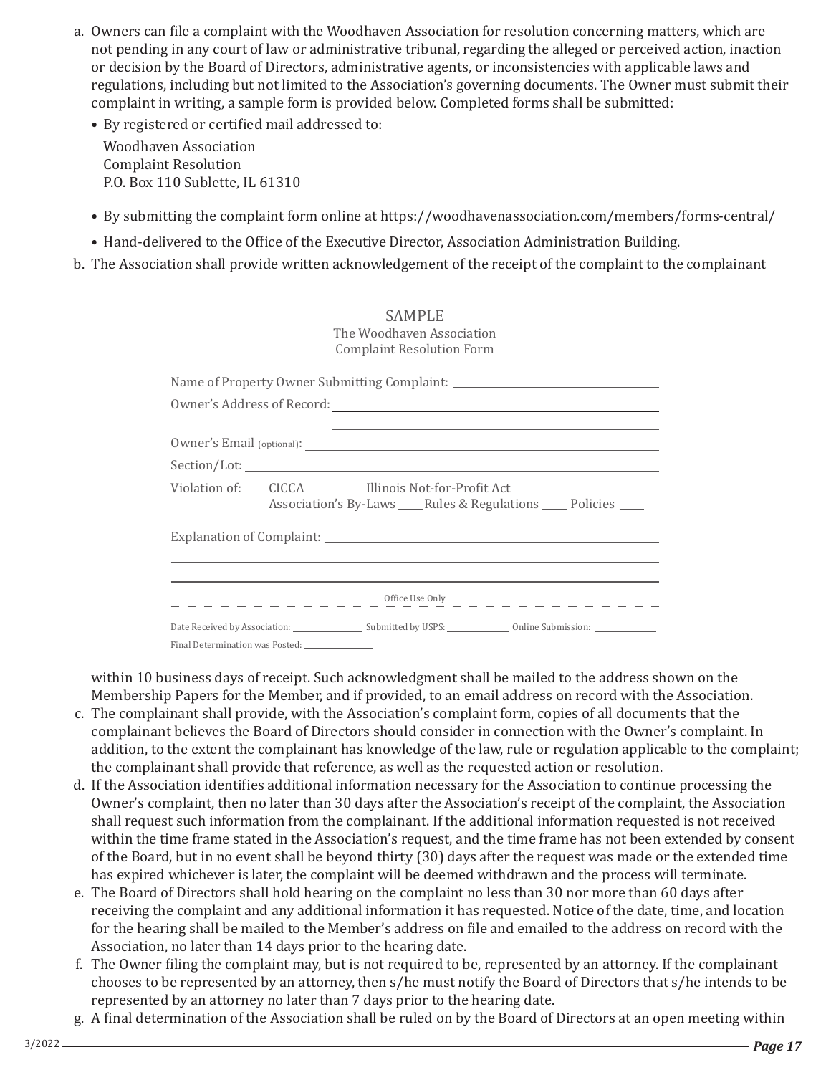- a. Owners can file a complaint with the Woodhaven Association for resolution concerning matters, which are not pending in any court of law or administrative tribunal, regarding the alleged or perceived action, inaction or decision by the Board of Directors, administrative agents, or inconsistencies with applicable laws and regulations, including but not limited to the Association's governing documents. The Owner must submit their complaint in writing, a sample form is provided below. Completed forms shall be submitted:
	- By registered or certified mail addressed to:

Woodhaven Association Complaint Resolution P.O. Box 110 Sublette, IL 61310

- By submitting the complaint form online at https://woodhavenassociation.com/members/forms-central/
- Hand-delivered to the Office of the Executive Director, Association Administration Building.
- b. The Association shall provide written acknowledgement of the receipt of the complaint to the complainant

| SAMPLE                                                                                                                                                                                                                        |
|-------------------------------------------------------------------------------------------------------------------------------------------------------------------------------------------------------------------------------|
| The Woodhaven Association                                                                                                                                                                                                     |
| <b>Complaint Resolution Form</b>                                                                                                                                                                                              |
| Name of Property Owner Submitting Complaint: ___________________________________                                                                                                                                              |
|                                                                                                                                                                                                                               |
| the control of the control of the control of the control of the control of the control of the control of the control of the control of the control of the control of the control of the control of the control of the control |
|                                                                                                                                                                                                                               |
|                                                                                                                                                                                                                               |
| Violation of: CICCA ________ Illinois Not-for-Profit Act _______<br>Association's By-Laws _____Rules & Regulations ______ Policies _____                                                                                      |
| Explanation of Complaint: Explanation of Complaint:                                                                                                                                                                           |
|                                                                                                                                                                                                                               |
|                                                                                                                                                                                                                               |
|                                                                                                                                                                                                                               |
|                                                                                                                                                                                                                               |
| Final Determination was Posted:                                                                                                                                                                                               |

within 10 business days of receipt. Such acknowledgment shall be mailed to the address shown on the Membership Papers for the Member, and if provided, to an email address on record with the Association.

- c. The complainant shall provide, with the Association's complaint form, copies of all documents that the complainant believes the Board of Directors should consider in connection with the Owner's complaint. In addition, to the extent the complainant has knowledge of the law, rule or regulation applicable to the complaint; the complainant shall provide that reference, as well as the requested action or resolution.
- d. If the Association identifies additional information necessary for the Association to continue processing the Owner's complaint, then no later than 30 days after the Association's receipt of the complaint, the Association shall request such information from the complainant. If the additional information requested is not received within the time frame stated in the Association's request, and the time frame has not been extended by consent of the Board, but in no event shall be beyond thirty (30) days after the request was made or the extended time has expired whichever is later, the complaint will be deemed withdrawn and the process will terminate.
- e. The Board of Directors shall hold hearing on the complaint no less than 30 nor more than 60 days after receiving the complaint and any additional information it has requested. Notice of the date, time, and location for the hearing shall be mailed to the Member's address on file and emailed to the address on record with the Association, no later than 14 days prior to the hearing date.
- f. The Owner filing the complaint may, but is not required to be, represented by an attorney. If the complainant chooses to be represented by an attorney, then s/he must notify the Board of Directors that s/he intends to be represented by an attorney no later than 7 days prior to the hearing date.
- g. A final determination of the Association shall be ruled on by the Board of Directors at an open meeting within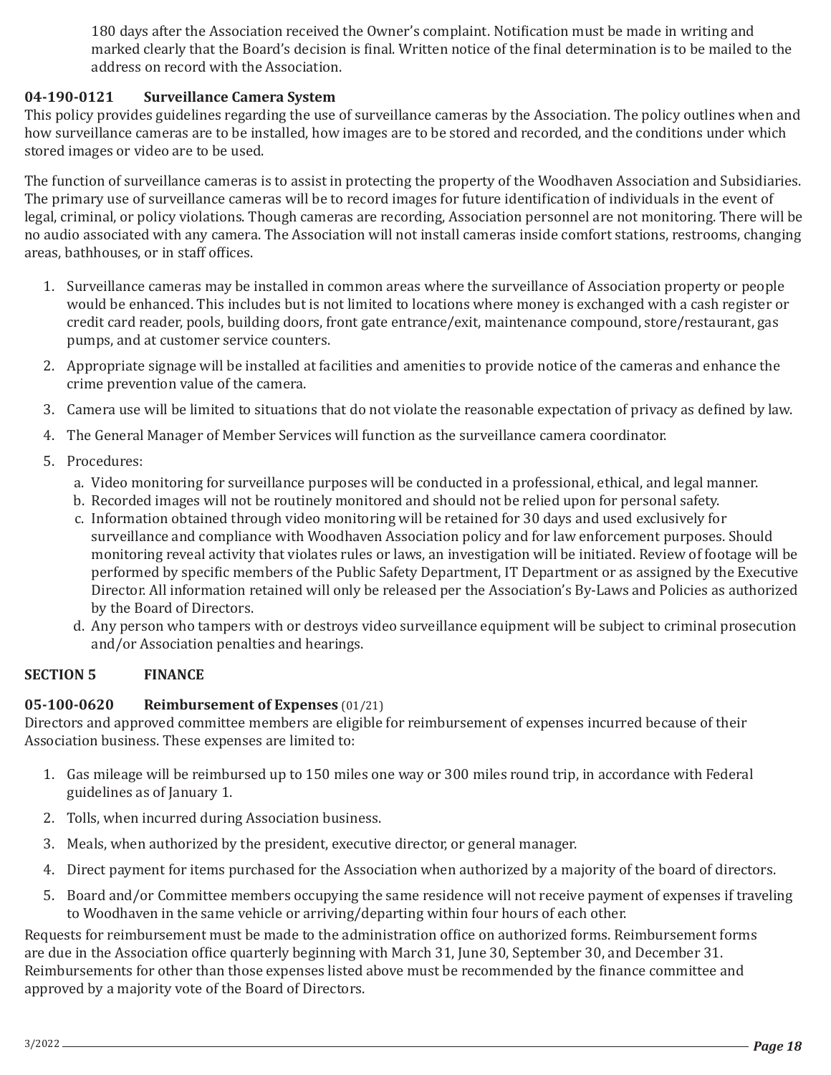180 days after the Association received the Owner's complaint. Notification must be made in writing and marked clearly that the Board's decision is final. Written notice of the final determination is to be mailed to the address on record with the Association.

## **04-190-0121 Surveillance Camera System**

This policy provides guidelines regarding the use of surveillance cameras by the Association. The policy outlines when and how surveillance cameras are to be installed, how images are to be stored and recorded, and the conditions under which stored images or video are to be used.

The function of surveillance cameras is to assist in protecting the property of the Woodhaven Association and Subsidiaries. The primary use of surveillance cameras will be to record images for future identification of individuals in the event of legal, criminal, or policy violations. Though cameras are recording, Association personnel are not monitoring. There will be no audio associated with any camera. The Association will not install cameras inside comfort stations, restrooms, changing areas, bathhouses, or in staff offices.

- 1. Surveillance cameras may be installed in common areas where the surveillance of Association property or people would be enhanced. This includes but is not limited to locations where money is exchanged with a cash register or credit card reader, pools, building doors, front gate entrance/exit, maintenance compound, store/restaurant, gas pumps, and at customer service counters.
- 2. Appropriate signage will be installed at facilities and amenities to provide notice of the cameras and enhance the crime prevention value of the camera.
- 3. Camera use will be limited to situations that do not violate the reasonable expectation of privacy as defined by law.
- 4. The General Manager of Member Services will function as the surveillance camera coordinator.
- 5. Procedures:
	- a. Video monitoring for surveillance purposes will be conducted in a professional, ethical, and legal manner.
	- b. Recorded images will not be routinely monitored and should not be relied upon for personal safety.
	- c. Information obtained through video monitoring will be retained for 30 days and used exclusively for surveillance and compliance with Woodhaven Association policy and for law enforcement purposes. Should monitoring reveal activity that violates rules or laws, an investigation will be initiated. Review of footage will be performed by specific members of the Public Safety Department, IT Department or as assigned by the Executive Director. All information retained will only be released per the Association's By-Laws and Policies as authorized by the Board of Directors.
	- d. Any person who tampers with or destroys video surveillance equipment will be subject to criminal prosecution and/or Association penalties and hearings.

### **SECTION 5 FINANCE**

# **05-100-0620 Reimbursement of Expenses** (01/21)

Directors and approved committee members are eligible for reimbursement of expenses incurred because of their Association business. These expenses are limited to:

- 1. Gas mileage will be reimbursed up to 150 miles one way or 300 miles round trip, in accordance with Federal guidelines as of January 1.
- 2. Tolls, when incurred during Association business.
- 3. Meals, when authorized by the president, executive director, or general manager.
- 4. Direct payment for items purchased for the Association when authorized by a majority of the board of directors.
- 5. Board and/or Committee members occupying the same residence will not receive payment of expenses if traveling to Woodhaven in the same vehicle or arriving/departing within four hours of each other.

Requests for reimbursement must be made to the administration office on authorized forms. Reimbursement forms are due in the Association office quarterly beginning with March 31, June 30, September 30, and December 31. Reimbursements for other than those expenses listed above must be recommended by the finance committee and approved by a majority vote of the Board of Directors.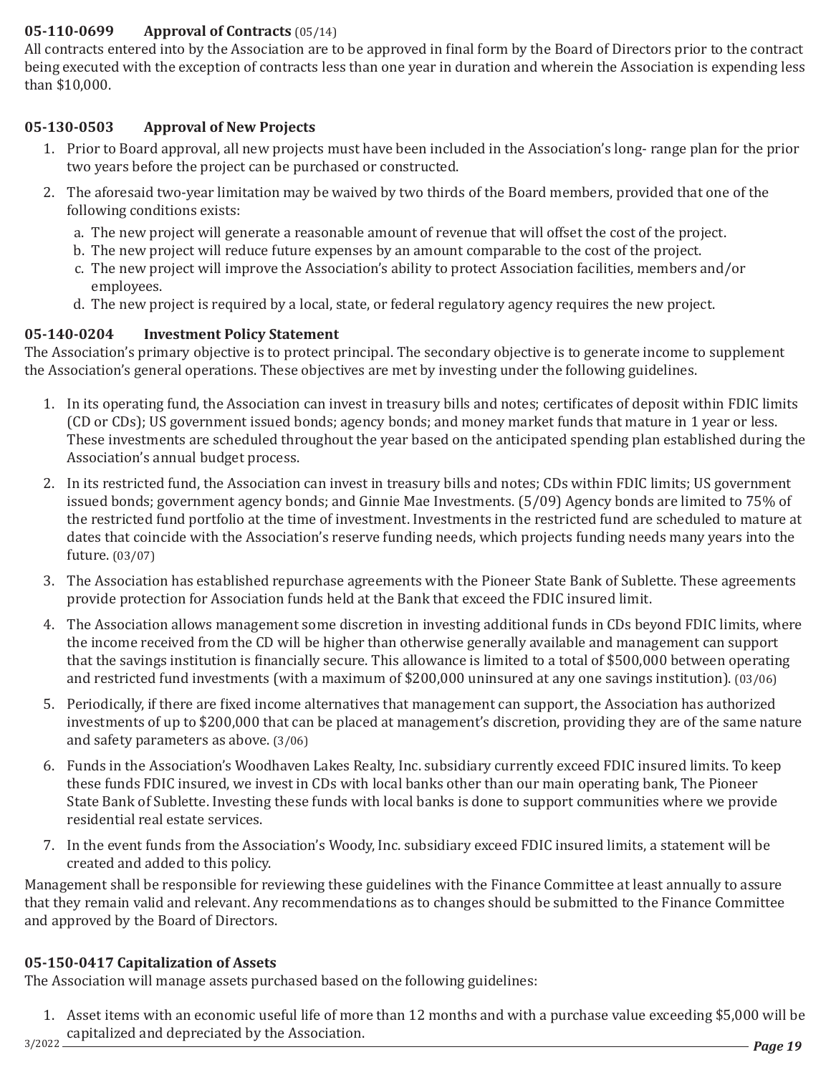## **05-110-0699 Approval of Contracts** (05/14)

All contracts entered into by the Association are to be approved in final form by the Board of Directors prior to the contract being executed with the exception of contracts less than one year in duration and wherein the Association is expending less than \$10,000.

## **05-130-0503 Approval of New Projects**

- 1. Prior to Board approval, all new projects must have been included in the Association's long- range plan for the prior two years before the project can be purchased or constructed.
- 2. The aforesaid two-year limitation may be waived by two thirds of the Board members, provided that one of the following conditions exists:
	- a. The new project will generate a reasonable amount of revenue that will offset the cost of the project.
	- b. The new project will reduce future expenses by an amount comparable to the cost of the project.
	- c. The new project will improve the Association's ability to protect Association facilities, members and/or employees.
	- d. The new project is required by a local, state, or federal regulatory agency requires the new project.

## **05-140-0204 Investment Policy Statement**

The Association's primary objective is to protect principal. The secondary objective is to generate income to supplement the Association's general operations. These objectives are met by investing under the following guidelines.

- 1. In its operating fund, the Association can invest in treasury bills and notes; certificates of deposit within FDIC limits (CD or CDs); US government issued bonds; agency bonds; and money market funds that mature in 1 year or less. These investments are scheduled throughout the year based on the anticipated spending plan established during the Association's annual budget process.
- 2. In its restricted fund, the Association can invest in treasury bills and notes; CDs within FDIC limits; US government issued bonds; government agency bonds; and Ginnie Mae Investments. (5/09) Agency bonds are limited to 75% of the restricted fund portfolio at the time of investment. Investments in the restricted fund are scheduled to mature at dates that coincide with the Association's reserve funding needs, which projects funding needs many years into the future. (03/07)
- 3. The Association has established repurchase agreements with the Pioneer State Bank of Sublette. These agreements provide protection for Association funds held at the Bank that exceed the FDIC insured limit.
- 4. The Association allows management some discretion in investing additional funds in CDs beyond FDIC limits, where the income received from the CD will be higher than otherwise generally available and management can support that the savings institution is financially secure. This allowance is limited to a total of \$500,000 between operating and restricted fund investments (with a maximum of \$200,000 uninsured at any one savings institution). (03/06)
- 5. Periodically, if there are fixed income alternatives that management can support, the Association has authorized investments of up to \$200,000 that can be placed at management's discretion, providing they are of the same nature and safety parameters as above. (3/06)
- 6. Funds in the Association's Woodhaven Lakes Realty, Inc. subsidiary currently exceed FDIC insured limits. To keep these funds FDIC insured, we invest in CDs with local banks other than our main operating bank, The Pioneer State Bank of Sublette. Investing these funds with local banks is done to support communities where we provide residential real estate services.
- 7. In the event funds from the Association's Woody, Inc. subsidiary exceed FDIC insured limits, a statement will be created and added to this policy.

Management shall be responsible for reviewing these guidelines with the Finance Committee at least annually to assure that they remain valid and relevant. Any recommendations as to changes should be submitted to the Finance Committee and approved by the Board of Directors.

## **05-150-0417 Capitalization of Assets**

The Association will manage assets purchased based on the following guidelines:

*Page 19* 3/2022 1. Asset items with an economic useful life of more than 12 months and with a purchase value exceeding \$5,000 will be capitalized and depreciated by the Association.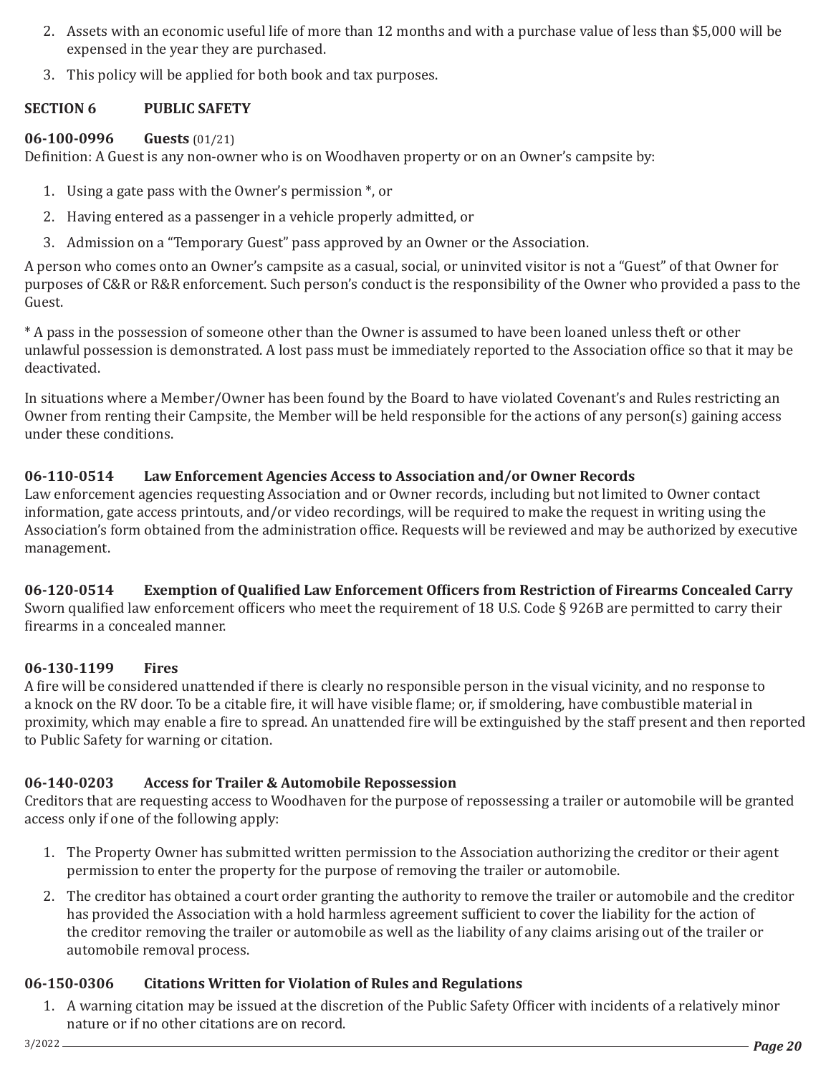- 2. Assets with an economic useful life of more than 12 months and with a purchase value of less than \$5,000 will be expensed in the year they are purchased.
- 3. This policy will be applied for both book and tax purposes.

## **SECTION 6 PUBLIC SAFETY**

## **06-100-0996 Guests** (01/21)

Definition: A Guest is any non-owner who is on Woodhaven property or on an Owner's campsite by:

- 1. Using a gate pass with the Owner's permission \*, or
- 2. Having entered as a passenger in a vehicle properly admitted, or
- 3. Admission on a "Temporary Guest" pass approved by an Owner or the Association.

A person who comes onto an Owner's campsite as a casual, social, or uninvited visitor is not a "Guest" of that Owner for purposes of C&R or R&R enforcement. Such person's conduct is the responsibility of the Owner who provided a pass to the Guest.

\* A pass in the possession of someone other than the Owner is assumed to have been loaned unless theft or other unlawful possession is demonstrated. A lost pass must be immediately reported to the Association office so that it may be deactivated.

In situations where a Member/Owner has been found by the Board to have violated Covenant's and Rules restricting an Owner from renting their Campsite, the Member will be held responsible for the actions of any person(s) gaining access under these conditions.

## **06-110-0514 Law Enforcement Agencies Access to Association and/or Owner Records**

Law enforcement agencies requesting Association and or Owner records, including but not limited to Owner contact information, gate access printouts, and/or video recordings, will be required to make the request in writing using the Association's form obtained from the administration office. Requests will be reviewed and may be authorized by executive management.

## **06-120-0514 Exemption of Qualified Law Enforcement Officers from Restriction of Firearms Concealed Carry**

Sworn qualified law enforcement officers who meet the requirement of 18 U.S. Code § 926B are permitted to carry their firearms in a concealed manner.

## **06-130-1199 Fires**

A fire will be considered unattended if there is clearly no responsible person in the visual vicinity, and no response to a knock on the RV door. To be a citable fire, it will have visible flame; or, if smoldering, have combustible material in proximity, which may enable a fire to spread. An unattended fire will be extinguished by the staff present and then reported to Public Safety for warning or citation.

## **06-140-0203 Access for Trailer & Automobile Repossession**

Creditors that are requesting access to Woodhaven for the purpose of repossessing a trailer or automobile will be granted access only if one of the following apply:

- 1. The Property Owner has submitted written permission to the Association authorizing the creditor or their agent permission to enter the property for the purpose of removing the trailer or automobile.
- 2. The creditor has obtained a court order granting the authority to remove the trailer or automobile and the creditor has provided the Association with a hold harmless agreement sufficient to cover the liability for the action of the creditor removing the trailer or automobile as well as the liability of any claims arising out of the trailer or automobile removal process.

## **06-150-0306 Citations Written for Violation of Rules and Regulations**

1. A warning citation may be issued at the discretion of the Public Safety Officer with incidents of a relatively minor nature or if no other citations are on record.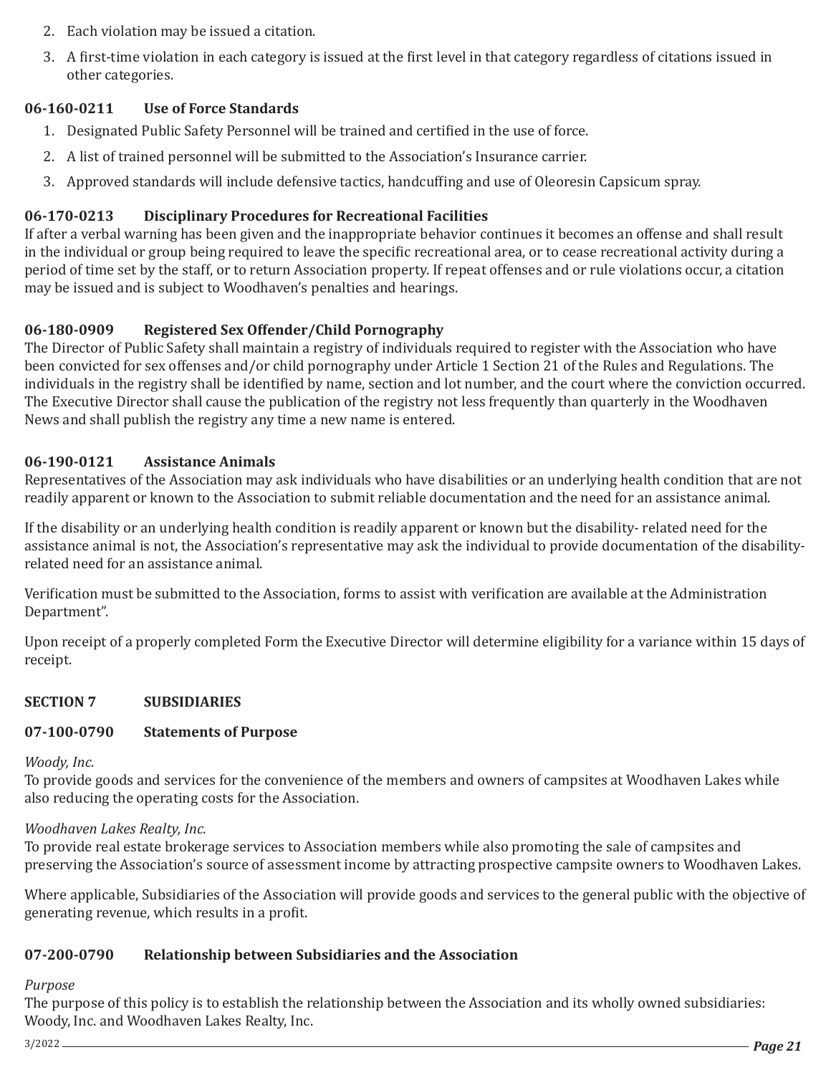- 2. Each violation may be issued a citation.
- 3. A first-time violation in each category is issued at the first level in that category regardless of citations issued in other categories.

## **06-160-0211 Use of Force Standards**

- 1. Designated Public Safety Personnel will be trained and certified in the use of force.
- 2. A list of trained personnel will be submitted to the Association's Insurance carrier.
- 3. Approved standards will include defensive tactics, handcuffing and use of Oleoresin Capsicum spray.

## **06-170-0213 Disciplinary Procedures for Recreational Facilities**

If after a verbal warning has been given and the inappropriate behavior continues it becomes an offense and shall result in the individual or group being required to leave the specific recreational area, or to cease recreational activity during a period of time set by the staff, or to return Association property. If repeat offenses and or rule violations occur, a citation may be issued and is subject to Woodhaven's penalties and hearings.

## **06-180-0909 Registered Sex Offender/Child Pornography**

The Director of Public Safety shall maintain a registry of individuals required to register with the Association who have been convicted for sex offenses and/or child pornography under Article 1 Section 21 of the Rules and Regulations. The individuals in the registry shall be identified by name, section and lot number, and the court where the conviction occurred. The Executive Director shall cause the publication of the registry not less frequently than quarterly in the Woodhaven News and shall publish the registry any time a new name is entered.

## **06-190-0121 Assistance Animals**

Representatives of the Association may ask individuals who have disabilities or an underlying health condition that are not readily apparent or known to the Association to submit reliable documentation and the need for an assistance animal.

If the disability or an underlying health condition is readily apparent or known but the disability- related need for the assistance animal is not, the Association's representative may ask the individual to provide documentation of the disabilityrelated need for an assistance animal.

Verification must be submitted to the Association, forms to assist with verification are available at the Administration Department".

Upon receipt of a properly completed Form the Executive Director will determine eligibility for a variance within 15 days of receipt.

## **SECTION 7 SUBSIDIARIES**

### **07-100-0790 Statements of Purpose**

*Woody, Inc.*

To provide goods and services for the convenience of the members and owners of campsites at Woodhaven Lakes while also reducing the operating costs for the Association.

### *Woodhaven Lakes Realty, Inc.*

To provide real estate brokerage services to Association members while also promoting the sale of campsites and preserving the Association's source of assessment income by attracting prospective campsite owners to Woodhaven Lakes.

Where applicable, Subsidiaries of the Association will provide goods and services to the general public with the objective of generating revenue, which results in a profit.

### **07-200-0790 Relationship between Subsidiaries and the Association**

*Purpose*

The purpose of this policy is to establish the relationship between the Association and its wholly owned subsidiaries: Woody, Inc. and Woodhaven Lakes Realty, Inc.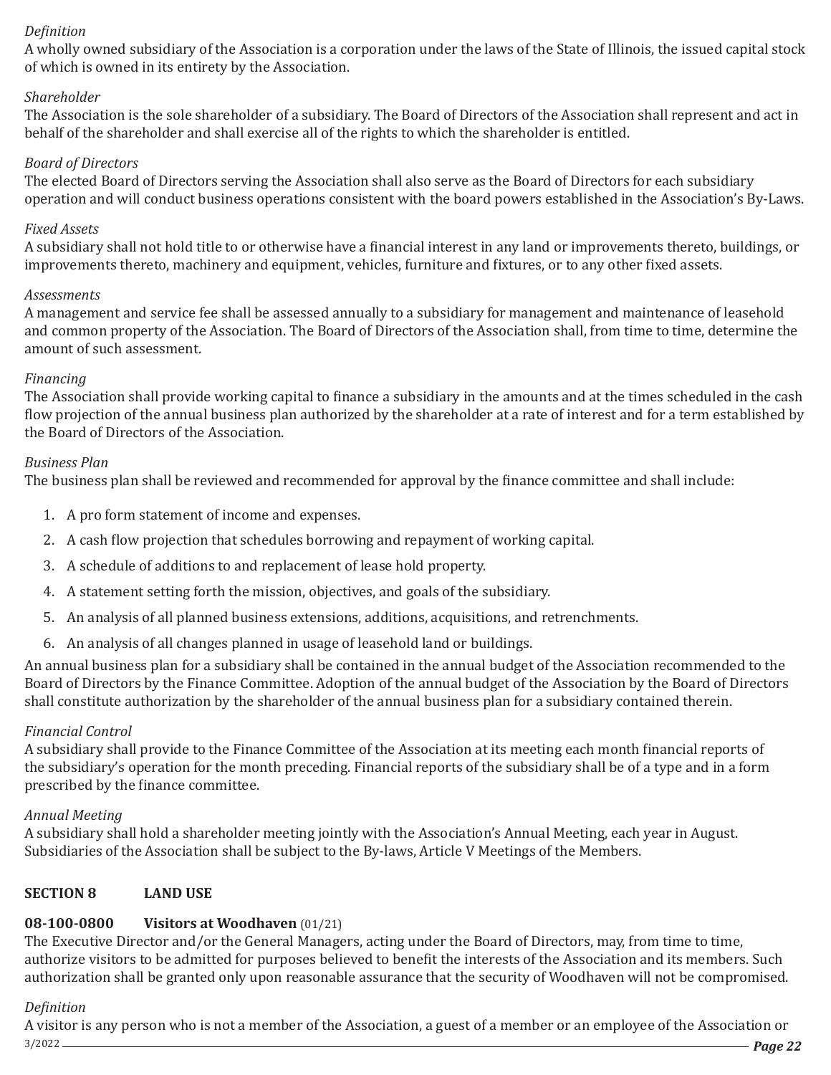## *Definition*

A wholly owned subsidiary of the Association is a corporation under the laws of the State of Illinois, the issued capital stock of which is owned in its entirety by the Association.

### *Shareholder*

The Association is the sole shareholder of a subsidiary. The Board of Directors of the Association shall represent and act in behalf of the shareholder and shall exercise all of the rights to which the shareholder is entitled.

#### *Board of Directors*

The elected Board of Directors serving the Association shall also serve as the Board of Directors for each subsidiary operation and will conduct business operations consistent with the board powers established in the Association's By-Laws.

#### *Fixed Assets*

A subsidiary shall not hold title to or otherwise have a financial interest in any land or improvements thereto, buildings, or improvements thereto, machinery and equipment, vehicles, furniture and fixtures, or to any other fixed assets.

#### *Assessments*

A management and service fee shall be assessed annually to a subsidiary for management and maintenance of leasehold and common property of the Association. The Board of Directors of the Association shall, from time to time, determine the amount of such assessment.

#### *Financing*

The Association shall provide working capital to finance a subsidiary in the amounts and at the times scheduled in the cash flow projection of the annual business plan authorized by the shareholder at a rate of interest and for a term established by the Board of Directors of the Association.

### *Business Plan*

The business plan shall be reviewed and recommended for approval by the finance committee and shall include:

- 1. A pro form statement of income and expenses.
- 2. A cash flow projection that schedules borrowing and repayment of working capital.
- 3. A schedule of additions to and replacement of lease hold property.
- 4. A statement setting forth the mission, objectives, and goals of the subsidiary.
- 5. An analysis of all planned business extensions, additions, acquisitions, and retrenchments.
- 6. An analysis of all changes planned in usage of leasehold land or buildings.

An annual business plan for a subsidiary shall be contained in the annual budget of the Association recommended to the Board of Directors by the Finance Committee. Adoption of the annual budget of the Association by the Board of Directors shall constitute authorization by the shareholder of the annual business plan for a subsidiary contained therein.

### *Financial Control*

A subsidiary shall provide to the Finance Committee of the Association at its meeting each month financial reports of the subsidiary's operation for the month preceding. Financial reports of the subsidiary shall be of a type and in a form prescribed by the finance committee.

### *Annual Meeting*

A subsidiary shall hold a shareholder meeting jointly with the Association's Annual Meeting, each year in August. Subsidiaries of the Association shall be subject to the By-laws, Article V Meetings of the Members.

### **SECTION 8 LAND USE**

### **08-100-0800 Visitors at Woodhaven** (01/21)

The Executive Director and/or the General Managers, acting under the Board of Directors, may, from time to time, authorize visitors to be admitted for purposes believed to benefit the interests of the Association and its members. Such authorization shall be granted only upon reasonable assurance that the security of Woodhaven will not be compromised.

### *Definition*

*Page 22* 3/2022 A visitor is any person who is not a member of the Association, a guest of a member or an employee of the Association or  $\frac{3}{2222}$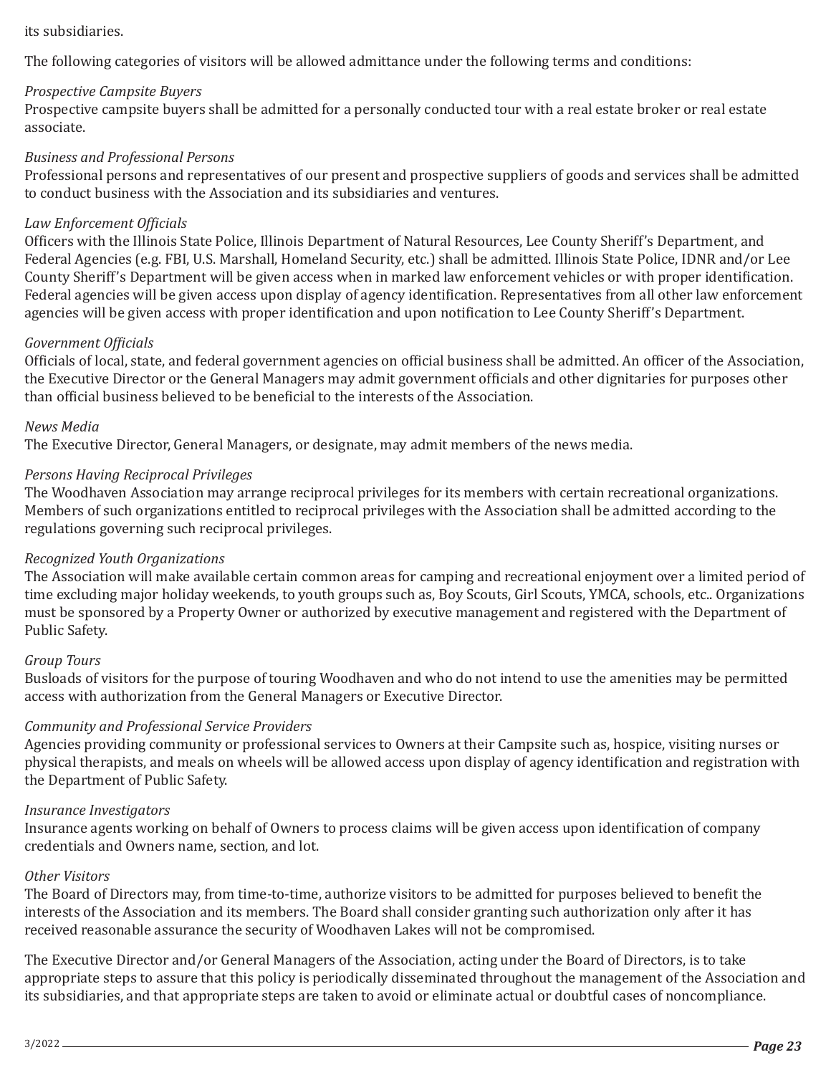### its subsidiaries.

The following categories of visitors will be allowed admittance under the following terms and conditions:

#### *Prospective Campsite Buyers*

Prospective campsite buyers shall be admitted for a personally conducted tour with a real estate broker or real estate associate.

#### *Business and Professional Persons*

Professional persons and representatives of our present and prospective suppliers of goods and services shall be admitted to conduct business with the Association and its subsidiaries and ventures.

#### *Law Enforcement Officials*

Officers with the Illinois State Police, Illinois Department of Natural Resources, Lee County Sheriff's Department, and Federal Agencies (e.g. FBI, U.S. Marshall, Homeland Security, etc.) shall be admitted. Illinois State Police, IDNR and/or Lee County Sheriff's Department will be given access when in marked law enforcement vehicles or with proper identification. Federal agencies will be given access upon display of agency identification. Representatives from all other law enforcement agencies will be given access with proper identification and upon notification to Lee County Sheriff's Department.

#### *Government Officials*

Officials of local, state, and federal government agencies on official business shall be admitted. An officer of the Association, the Executive Director or the General Managers may admit government officials and other dignitaries for purposes other than official business believed to be beneficial to the interests of the Association.

#### *News Media*

The Executive Director, General Managers, or designate, may admit members of the news media.

#### *Persons Having Reciprocal Privileges*

The Woodhaven Association may arrange reciprocal privileges for its members with certain recreational organizations. Members of such organizations entitled to reciprocal privileges with the Association shall be admitted according to the regulations governing such reciprocal privileges.

#### *Recognized Youth Organizations*

The Association will make available certain common areas for camping and recreational enjoyment over a limited period of time excluding major holiday weekends, to youth groups such as, Boy Scouts, Girl Scouts, YMCA, schools, etc.. Organizations must be sponsored by a Property Owner or authorized by executive management and registered with the Department of Public Safety.

#### *Group Tours*

Busloads of visitors for the purpose of touring Woodhaven and who do not intend to use the amenities may be permitted access with authorization from the General Managers or Executive Director.

#### *Community and Professional Service Providers*

Agencies providing community or professional services to Owners at their Campsite such as, hospice, visiting nurses or physical therapists, and meals on wheels will be allowed access upon display of agency identification and registration with the Department of Public Safety.

#### *Insurance Investigators*

Insurance agents working on behalf of Owners to process claims will be given access upon identification of company credentials and Owners name, section, and lot.

#### *Other Visitors*

The Board of Directors may, from time-to-time, authorize visitors to be admitted for purposes believed to benefit the interests of the Association and its members. The Board shall consider granting such authorization only after it has received reasonable assurance the security of Woodhaven Lakes will not be compromised.

The Executive Director and/or General Managers of the Association, acting under the Board of Directors, is to take appropriate steps to assure that this policy is periodically disseminated throughout the management of the Association and its subsidiaries, and that appropriate steps are taken to avoid or eliminate actual or doubtful cases of noncompliance.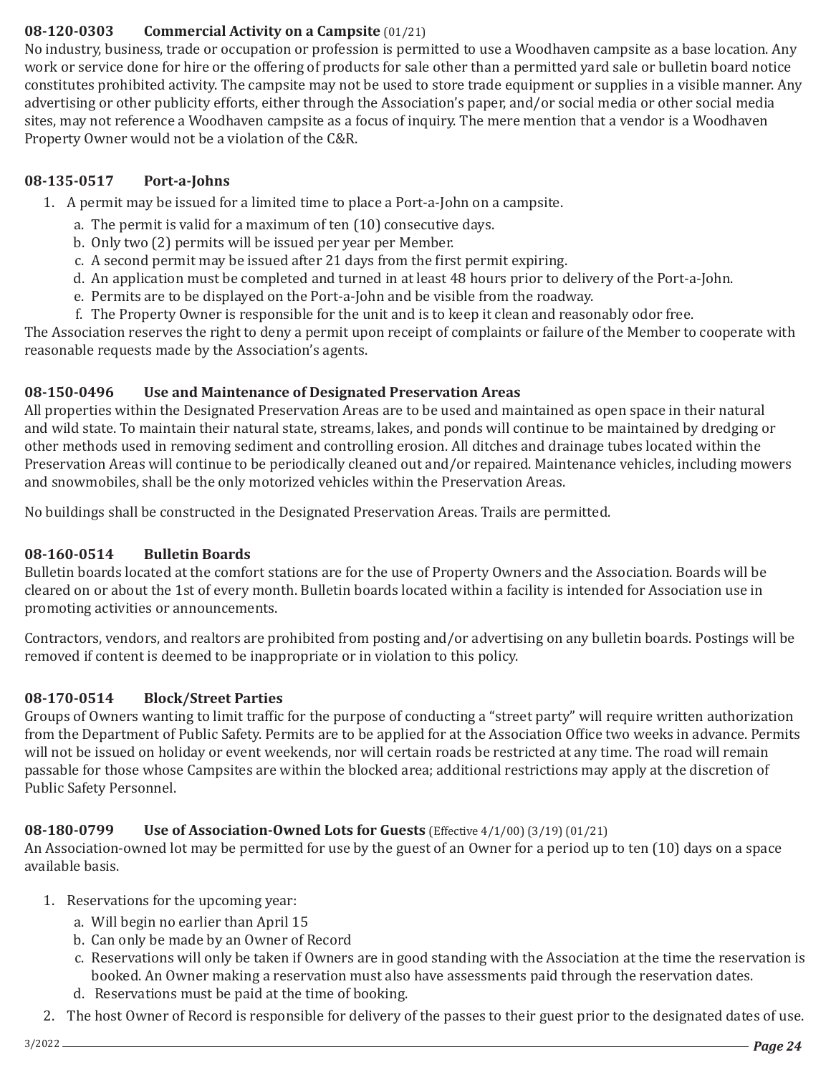## **08-120-0303 Commercial Activity on a Campsite** (01/21)

No industry, business, trade or occupation or profession is permitted to use a Woodhaven campsite as a base location. Any work or service done for hire or the offering of products for sale other than a permitted yard sale or bulletin board notice constitutes prohibited activity. The campsite may not be used to store trade equipment or supplies in a visible manner. Any advertising or other publicity efforts, either through the Association's paper, and/or social media or other social media sites, may not reference a Woodhaven campsite as a focus of inquiry. The mere mention that a vendor is a Woodhaven Property Owner would not be a violation of the C&R.

## **08-135-0517 Port-a-Johns**

- 1. A permit may be issued for a limited time to place a Port-a-John on a campsite.
	- a. The permit is valid for a maximum of ten (10) consecutive days.
	- b. Only two (2) permits will be issued per year per Member.
	- c. A second permit may be issued after 21 days from the first permit expiring.
	- d. An application must be completed and turned in at least 48 hours prior to delivery of the Port-a-John.
	- e. Permits are to be displayed on the Port-a-John and be visible from the roadway.
	- f. The Property Owner is responsible for the unit and is to keep it clean and reasonably odor free.

The Association reserves the right to deny a permit upon receipt of complaints or failure of the Member to cooperate with reasonable requests made by the Association's agents.

## **08-150-0496 Use and Maintenance of Designated Preservation Areas**

All properties within the Designated Preservation Areas are to be used and maintained as open space in their natural and wild state. To maintain their natural state, streams, lakes, and ponds will continue to be maintained by dredging or other methods used in removing sediment and controlling erosion. All ditches and drainage tubes located within the Preservation Areas will continue to be periodically cleaned out and/or repaired. Maintenance vehicles, including mowers and snowmobiles, shall be the only motorized vehicles within the Preservation Areas.

No buildings shall be constructed in the Designated Preservation Areas. Trails are permitted.

## **08-160-0514 Bulletin Boards**

Bulletin boards located at the comfort stations are for the use of Property Owners and the Association. Boards will be cleared on or about the 1st of every month. Bulletin boards located within a facility is intended for Association use in promoting activities or announcements.

Contractors, vendors, and realtors are prohibited from posting and/or advertising on any bulletin boards. Postings will be removed if content is deemed to be inappropriate or in violation to this policy.

## **08-170-0514 Block/Street Parties**

Groups of Owners wanting to limit traffic for the purpose of conducting a "street party" will require written authorization from the Department of Public Safety. Permits are to be applied for at the Association Office two weeks in advance. Permits will not be issued on holiday or event weekends, nor will certain roads be restricted at any time. The road will remain passable for those whose Campsites are within the blocked area; additional restrictions may apply at the discretion of Public Safety Personnel.

## **08-180-0799 Use of Association-Owned Lots for Guests** (Effective 4/1/00) (3/19) (01/21)

An Association-owned lot may be permitted for use by the guest of an Owner for a period up to ten (10) days on a space available basis.

- 1. Reservations for the upcoming year:
	- a. Will begin no earlier than April 15
	- b. Can only be made by an Owner of Record
	- c. Reservations will only be taken if Owners are in good standing with the Association at the time the reservation is booked. An Owner making a reservation must also have assessments paid through the reservation dates.
	- d. Reservations must be paid at the time of booking.
- 2. The host Owner of Record is responsible for delivery of the passes to their guest prior to the designated dates of use.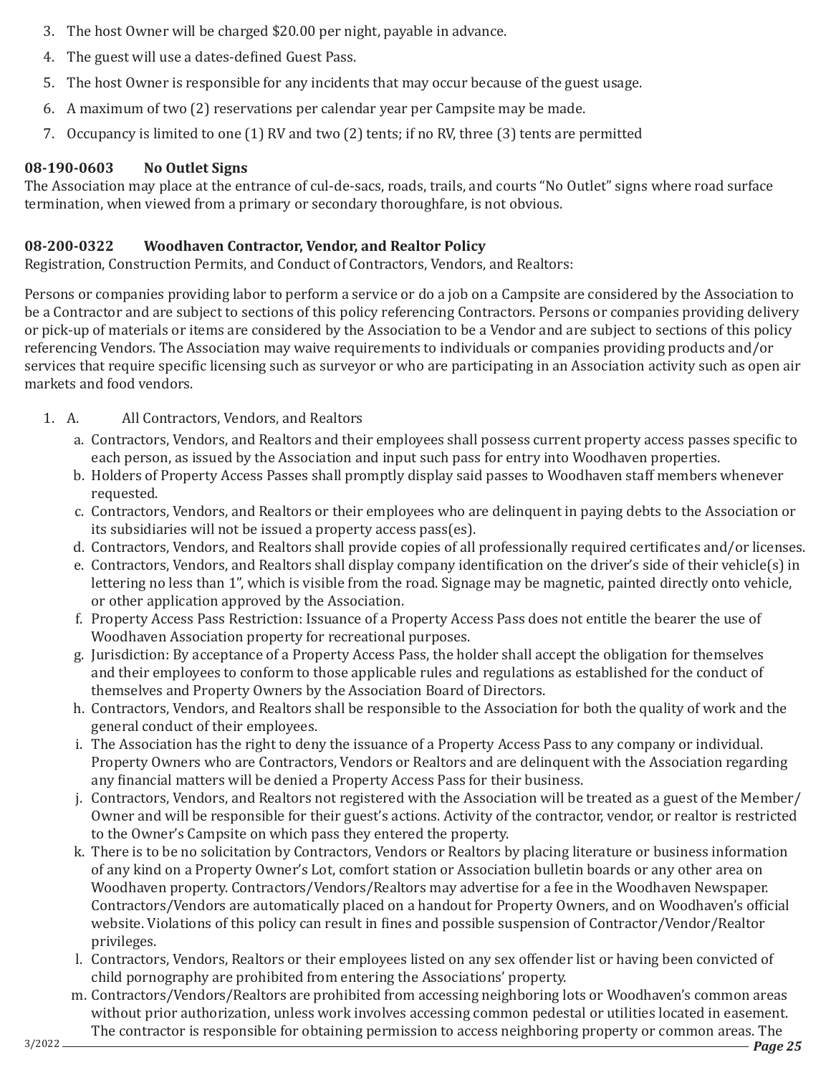- 3. The host Owner will be charged \$20.00 per night, payable in advance.
- 4. The guest will use a dates-defined Guest Pass.
- 5. The host Owner is responsible for any incidents that may occur because of the guest usage.
- 6. A maximum of two (2) reservations per calendar year per Campsite may be made.
- 7. Occupancy is limited to one (1) RV and two (2) tents; if no RV, three (3) tents are permitted

## **08-190-0603 No Outlet Signs**

The Association may place at the entrance of cul-de-sacs, roads, trails, and courts "No Outlet" signs where road surface termination, when viewed from a primary or secondary thoroughfare, is not obvious.

## **08-200-0322 Woodhaven Contractor, Vendor, and Realtor Policy**

Registration, Construction Permits, and Conduct of Contractors, Vendors, and Realtors:

Persons or companies providing labor to perform a service or do a job on a Campsite are considered by the Association to be a Contractor and are subject to sections of this policy referencing Contractors. Persons or companies providing delivery or pick-up of materials or items are considered by the Association to be a Vendor and are subject to sections of this policy referencing Vendors. The Association may waive requirements to individuals or companies providing products and/or services that require specific licensing such as surveyor or who are participating in an Association activity such as open air markets and food vendors.

- 1. A. All Contractors, Vendors, and Realtors
	- a. Contractors, Vendors, and Realtors and their employees shall possess current property access passes specific to each person, as issued by the Association and input such pass for entry into Woodhaven properties.
	- b. Holders of Property Access Passes shall promptly display said passes to Woodhaven staff members whenever requested.
	- c. Contractors, Vendors, and Realtors or their employees who are delinquent in paying debts to the Association or its subsidiaries will not be issued a property access pass(es).
	- d. Contractors, Vendors, and Realtors shall provide copies of all professionally required certificates and/or licenses.
	- e. Contractors, Vendors, and Realtors shall display company identification on the driver's side of their vehicle(s) in lettering no less than 1", which is visible from the road. Signage may be magnetic, painted directly onto vehicle, or other application approved by the Association.
	- f. Property Access Pass Restriction: Issuance of a Property Access Pass does not entitle the bearer the use of Woodhaven Association property for recreational purposes.
	- g. Jurisdiction: By acceptance of a Property Access Pass, the holder shall accept the obligation for themselves and their employees to conform to those applicable rules and regulations as established for the conduct of themselves and Property Owners by the Association Board of Directors.
	- h. Contractors, Vendors, and Realtors shall be responsible to the Association for both the quality of work and the general conduct of their employees.
	- i. The Association has the right to deny the issuance of a Property Access Pass to any company or individual. Property Owners who are Contractors, Vendors or Realtors and are delinquent with the Association regarding any financial matters will be denied a Property Access Pass for their business.
	- j. Contractors, Vendors, and Realtors not registered with the Association will be treated as a guest of the Member/ Owner and will be responsible for their guest's actions. Activity of the contractor, vendor, or realtor is restricted to the Owner's Campsite on which pass they entered the property.
	- k. There is to be no solicitation by Contractors, Vendors or Realtors by placing literature or business information of any kind on a Property Owner's Lot, comfort station or Association bulletin boards or any other area on Woodhaven property. Contractors/Vendors/Realtors may advertise for a fee in the Woodhaven Newspaper. Contractors/Vendors are automatically placed on a handout for Property Owners, and on Woodhaven's official website. Violations of this policy can result in fines and possible suspension of Contractor/Vendor/Realtor privileges.
	- l. Contractors, Vendors, Realtors or their employees listed on any sex offender list or having been convicted of child pornography are prohibited from entering the Associations' property.
	- m. Contractors/Vendors/Realtors are prohibited from accessing neighboring lots or Woodhaven's common areas without prior authorization, unless work involves accessing common pedestal or utilities located in easement. The contractor is responsible for obtaining permission to access neighboring property or common areas. The *Page 25*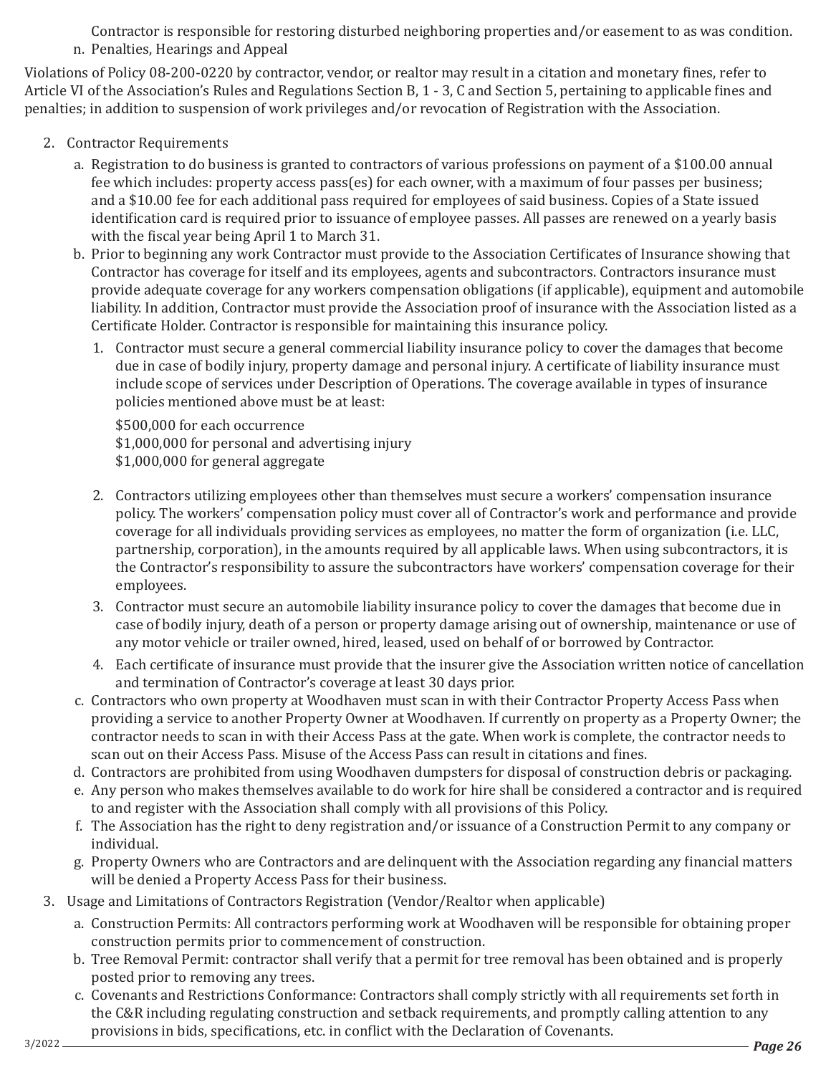Contractor is responsible for restoring disturbed neighboring properties and/or easement to as was condition. n. Penalties, Hearings and Appeal

Violations of Policy 08-200-0220 by contractor, vendor, or realtor may result in a citation and monetary fines, refer to Article VI of the Association's Rules and Regulations Section B, 1 - 3, C and Section 5, pertaining to applicable fines and penalties; in addition to suspension of work privileges and/or revocation of Registration with the Association.

- 2. Contractor Requirements
	- a. Registration to do business is granted to contractors of various professions on payment of a \$100.00 annual fee which includes: property access pass(es) for each owner, with a maximum of four passes per business; and a \$10.00 fee for each additional pass required for employees of said business. Copies of a State issued identification card is required prior to issuance of employee passes. All passes are renewed on a yearly basis with the fiscal year being April 1 to March 31.
	- b. Prior to beginning any work Contractor must provide to the Association Certificates of Insurance showing that Contractor has coverage for itself and its employees, agents and subcontractors. Contractors insurance must provide adequate coverage for any workers compensation obligations (if applicable), equipment and automobile liability. In addition, Contractor must provide the Association proof of insurance with the Association listed as a Certificate Holder. Contractor is responsible for maintaining this insurance policy.
		- 1. Contractor must secure a general commercial liability insurance policy to cover the damages that become due in case of bodily injury, property damage and personal injury. A certificate of liability insurance must include scope of services under Description of Operations. The coverage available in types of insurance policies mentioned above must be at least:

\$500,000 for each occurrence \$1,000,000 for personal and advertising injury \$1,000,000 for general aggregate

- 2. Contractors utilizing employees other than themselves must secure a workers' compensation insurance policy. The workers' compensation policy must cover all of Contractor's work and performance and provide coverage for all individuals providing services as employees, no matter the form of organization (i.e. LLC, partnership, corporation), in the amounts required by all applicable laws. When using subcontractors, it is the Contractor's responsibility to assure the subcontractors have workers' compensation coverage for their employees.
- 3. Contractor must secure an automobile liability insurance policy to cover the damages that become due in case of bodily injury, death of a person or property damage arising out of ownership, maintenance or use of any motor vehicle or trailer owned, hired, leased, used on behalf of or borrowed by Contractor.
- 4. Each certificate of insurance must provide that the insurer give the Association written notice of cancellation and termination of Contractor's coverage at least 30 days prior.
- c. Contractors who own property at Woodhaven must scan in with their Contractor Property Access Pass when providing a service to another Property Owner at Woodhaven. If currently on property as a Property Owner; the contractor needs to scan in with their Access Pass at the gate. When work is complete, the contractor needs to scan out on their Access Pass. Misuse of the Access Pass can result in citations and fines.
- d. Contractors are prohibited from using Woodhaven dumpsters for disposal of construction debris or packaging.
- e. Any person who makes themselves available to do work for hire shall be considered a contractor and is required to and register with the Association shall comply with all provisions of this Policy.
- f. The Association has the right to deny registration and/or issuance of a Construction Permit to any company or individual.
- g. Property Owners who are Contractors and are delinquent with the Association regarding any financial matters will be denied a Property Access Pass for their business.
- 3. Usage and Limitations of Contractors Registration (Vendor/Realtor when applicable)
	- a. Construction Permits: All contractors performing work at Woodhaven will be responsible for obtaining proper construction permits prior to commencement of construction.
	- b. Tree Removal Permit: contractor shall verify that a permit for tree removal has been obtained and is properly posted prior to removing any trees.
	- c. Covenants and Restrictions Conformance: Contractors shall comply strictly with all requirements set forth in the C&R including regulating construction and setback requirements, and promptly calling attention to any provisions in bids, specifications, etc. in conflict with the Declaration of Covenants.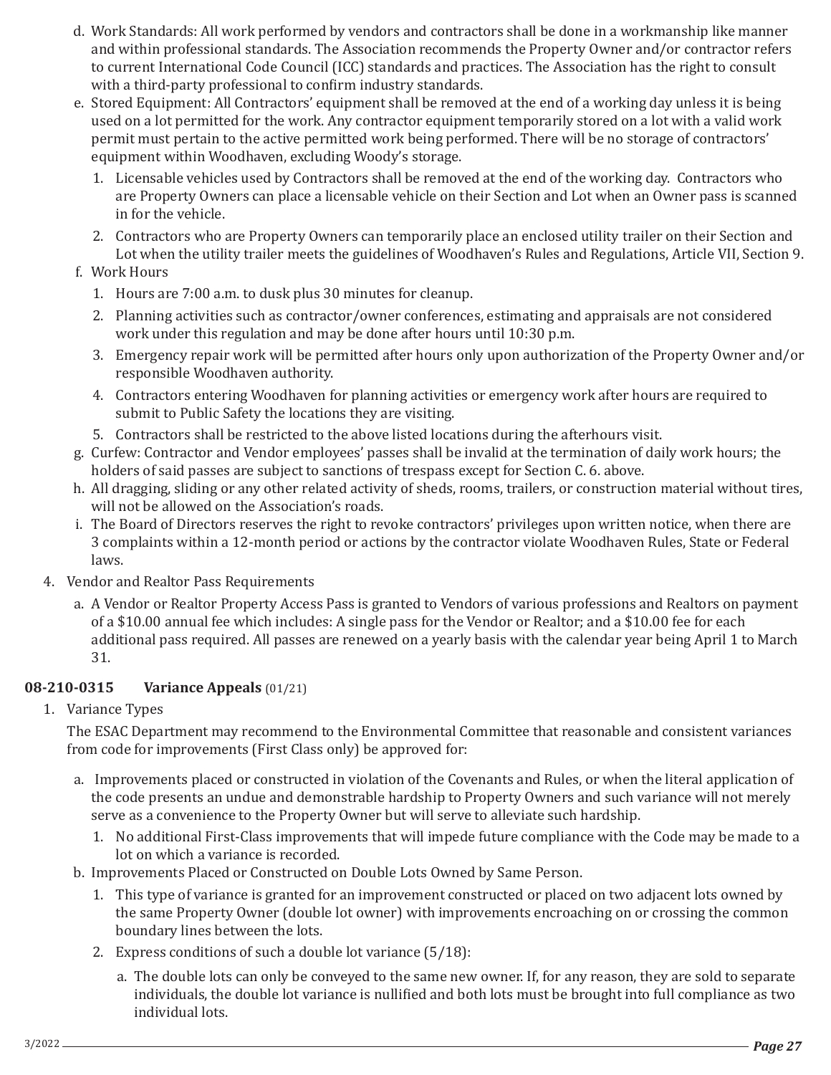- d. Work Standards: All work performed by vendors and contractors shall be done in a workmanship like manner and within professional standards. The Association recommends the Property Owner and/or contractor refers to current International Code Council (ICC) standards and practices. The Association has the right to consult with a third-party professional to confirm industry standards.
- e. Stored Equipment: All Contractors' equipment shall be removed at the end of a working day unless it is being used on a lot permitted for the work. Any contractor equipment temporarily stored on a lot with a valid work permit must pertain to the active permitted work being performed. There will be no storage of contractors' equipment within Woodhaven, excluding Woody's storage.
	- 1. Licensable vehicles used by Contractors shall be removed at the end of the working day. Contractors who are Property Owners can place a licensable vehicle on their Section and Lot when an Owner pass is scanned in for the vehicle.
	- 2. Contractors who are Property Owners can temporarily place an enclosed utility trailer on their Section and Lot when the utility trailer meets the guidelines of Woodhaven's Rules and Regulations, Article VII, Section 9.
- f. Work Hours
	- 1. Hours are 7:00 a.m. to dusk plus 30 minutes for cleanup.
	- 2. Planning activities such as contractor/owner conferences, estimating and appraisals are not considered work under this regulation and may be done after hours until 10:30 p.m.
	- 3. Emergency repair work will be permitted after hours only upon authorization of the Property Owner and/or responsible Woodhaven authority.
	- 4. Contractors entering Woodhaven for planning activities or emergency work after hours are required to submit to Public Safety the locations they are visiting.
	- 5. Contractors shall be restricted to the above listed locations during the afterhours visit.
- g. Curfew: Contractor and Vendor employees' passes shall be invalid at the termination of daily work hours; the holders of said passes are subject to sanctions of trespass except for Section C. 6. above.
- h. All dragging, sliding or any other related activity of sheds, rooms, trailers, or construction material without tires, will not be allowed on the Association's roads.
- i. The Board of Directors reserves the right to revoke contractors' privileges upon written notice, when there are 3 complaints within a 12-month period or actions by the contractor violate Woodhaven Rules, State or Federal laws.
- 4. Vendor and Realtor Pass Requirements
	- a. A Vendor or Realtor Property Access Pass is granted to Vendors of various professions and Realtors on payment of a \$10.00 annual fee which includes: A single pass for the Vendor or Realtor; and a \$10.00 fee for each additional pass required. All passes are renewed on a yearly basis with the calendar year being April 1 to March 31.

## **08-210-0315 Variance Appeals** (01/21)

1. Variance Types

The ESAC Department may recommend to the Environmental Committee that reasonable and consistent variances from code for improvements (First Class only) be approved for:

- a. Improvements placed or constructed in violation of the Covenants and Rules, or when the literal application of the code presents an undue and demonstrable hardship to Property Owners and such variance will not merely serve as a convenience to the Property Owner but will serve to alleviate such hardship.
	- 1. No additional First-Class improvements that will impede future compliance with the Code may be made to a lot on which a variance is recorded.
- b. Improvements Placed or Constructed on Double Lots Owned by Same Person.
	- 1. This type of variance is granted for an improvement constructed or placed on two adjacent lots owned by the same Property Owner (double lot owner) with improvements encroaching on or crossing the common boundary lines between the lots.
	- 2. Express conditions of such a double lot variance (5/18):
		- a. The double lots can only be conveyed to the same new owner. If, for any reason, they are sold to separate individuals, the double lot variance is nullified and both lots must be brought into full compliance as two individual lots.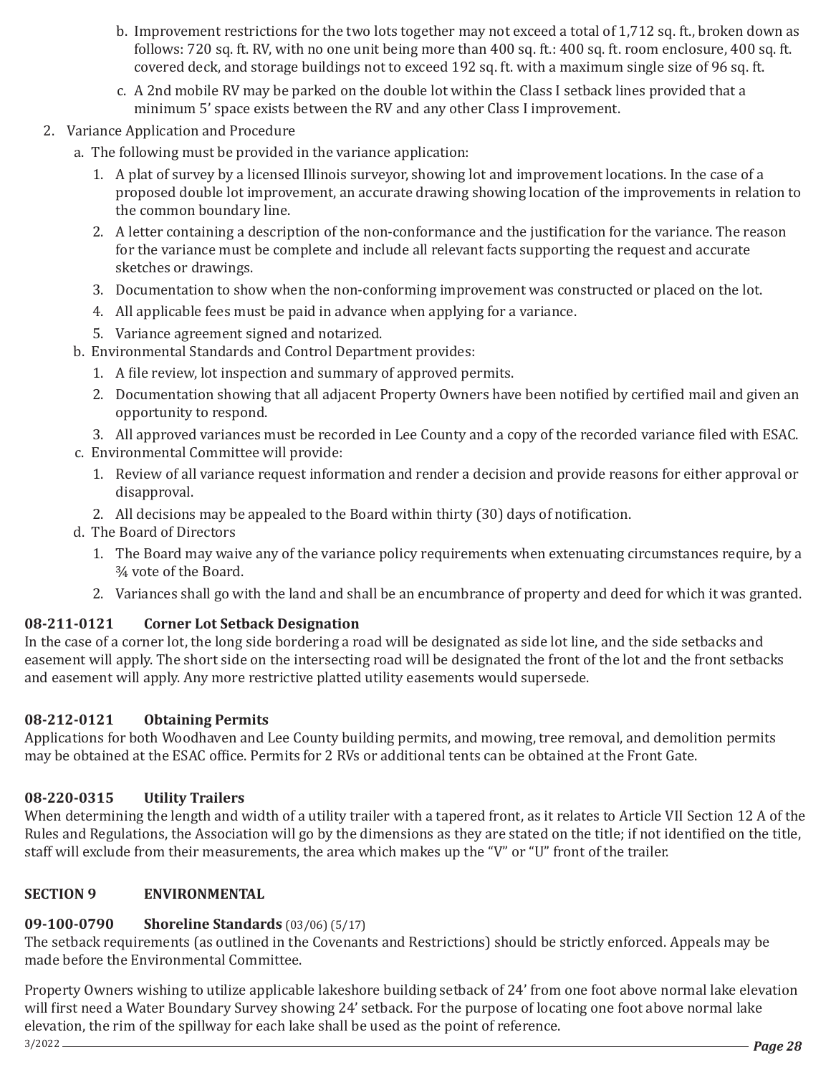- b. Improvement restrictions for the two lots together may not exceed a total of 1,712 sq. ft., broken down as follows: 720 sq. ft. RV, with no one unit being more than 400 sq. ft.: 400 sq. ft. room enclosure, 400 sq. ft. covered deck, and storage buildings not to exceed 192 sq. ft. with a maximum single size of 96 sq. ft.
- c. A 2nd mobile RV may be parked on the double lot within the Class I setback lines provided that a minimum 5' space exists between the RV and any other Class I improvement.
- 2. Variance Application and Procedure
	- a. The following must be provided in the variance application:
		- 1. A plat of survey by a licensed Illinois surveyor, showing lot and improvement locations. In the case of a proposed double lot improvement, an accurate drawing showing location of the improvements in relation to the common boundary line.
		- 2. A letter containing a description of the non-conformance and the justification for the variance. The reason for the variance must be complete and include all relevant facts supporting the request and accurate sketches or drawings.
		- 3. Documentation to show when the non-conforming improvement was constructed or placed on the lot.
		- 4. All applicable fees must be paid in advance when applying for a variance.
		- 5. Variance agreement signed and notarized.
	- b. Environmental Standards and Control Department provides:
		- 1. A file review, lot inspection and summary of approved permits.
		- 2. Documentation showing that all adjacent Property Owners have been notified by certified mail and given an opportunity to respond.
		- 3. All approved variances must be recorded in Lee County and a copy of the recorded variance filed with ESAC.
	- c. Environmental Committee will provide:
		- 1. Review of all variance request information and render a decision and provide reasons for either approval or disapproval.
		- 2. All decisions may be appealed to the Board within thirty (30) days of notification.
	- d. The Board of Directors
		- 1. The Board may waive any of the variance policy requirements when extenuating circumstances require, by a ¾ vote of the Board.
		- 2. Variances shall go with the land and shall be an encumbrance of property and deed for which it was granted.

# **08-211-0121 Corner Lot Setback Designation**

In the case of a corner lot, the long side bordering a road will be designated as side lot line, and the side setbacks and easement will apply. The short side on the intersecting road will be designated the front of the lot and the front setbacks and easement will apply. Any more restrictive platted utility easements would supersede.

# **08-212-0121 Obtaining Permits**

Applications for both Woodhaven and Lee County building permits, and mowing, tree removal, and demolition permits may be obtained at the ESAC office. Permits for 2 RVs or additional tents can be obtained at the Front Gate.

# **08-220-0315 Utility Trailers**

When determining the length and width of a utility trailer with a tapered front, as it relates to Article VII Section 12 A of the Rules and Regulations, the Association will go by the dimensions as they are stated on the title; if not identified on the title, staff will exclude from their measurements, the area which makes up the "V" or "U" front of the trailer.

# **SECTION 9 ENVIRONMENTAL**

# **09-100-0790 Shoreline Standards** (03/06) (5/17)

The setback requirements (as outlined in the Covenants and Restrictions) should be strictly enforced. Appeals may be made before the Environmental Committee.

*Page 28* 3/2022 Property Owners wishing to utilize applicable lakeshore building setback of 24' from one foot above normal lake elevation will first need a Water Boundary Survey showing 24' setback. For the purpose of locating one foot above normal lake elevation, the rim of the spillway for each lake shall be used as the point of reference.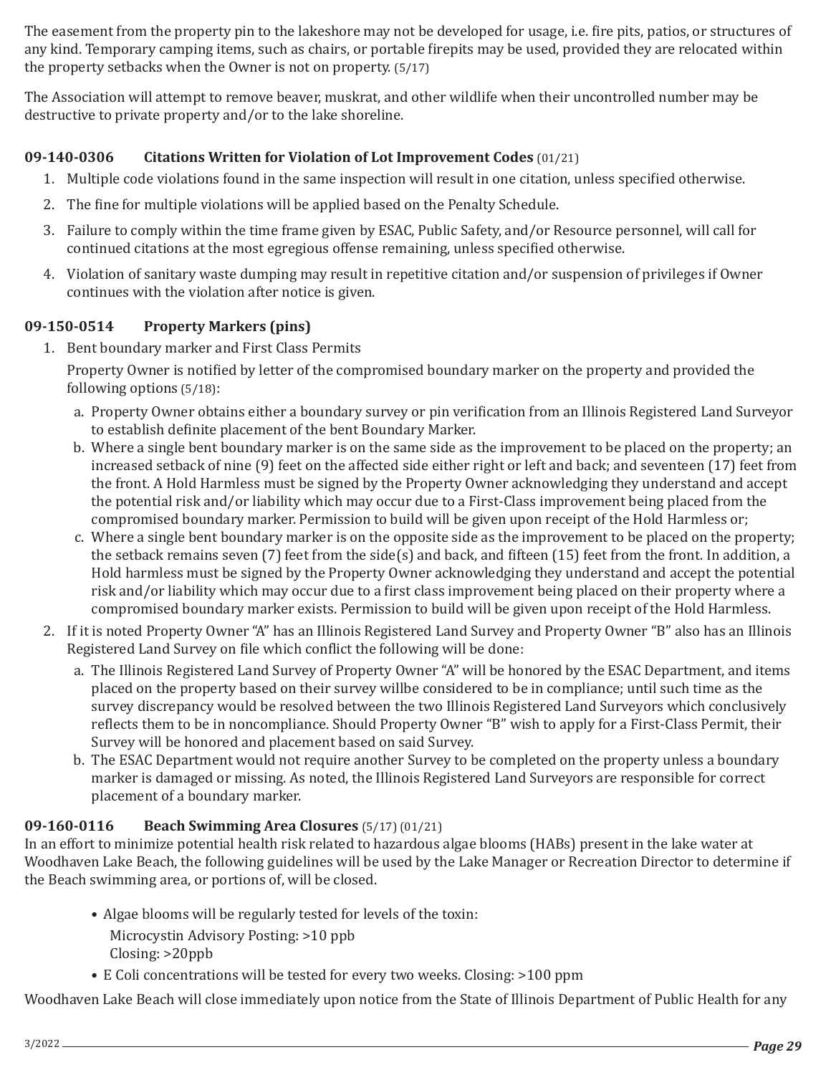The easement from the property pin to the lakeshore may not be developed for usage, i.e. fire pits, patios, or structures of any kind. Temporary camping items, such as chairs, or portable firepits may be used, provided they are relocated within the property setbacks when the Owner is not on property. (5/17)

The Association will attempt to remove beaver, muskrat, and other wildlife when their uncontrolled number may be destructive to private property and/or to the lake shoreline.

## **09-140-0306 Citations Written for Violation of Lot Improvement Codes** (01/21)

- 1. Multiple code violations found in the same inspection will result in one citation, unless specified otherwise.
- 2. The fine for multiple violations will be applied based on the Penalty Schedule.
- 3. Failure to comply within the time frame given by ESAC, Public Safety, and/or Resource personnel, will call for continued citations at the most egregious offense remaining, unless specified otherwise.
- 4. Violation of sanitary waste dumping may result in repetitive citation and/or suspension of privileges if Owner continues with the violation after notice is given.

## **09-150-0514 Property Markers (pins)**

1. Bent boundary marker and First Class Permits

Property Owner is notified by letter of the compromised boundary marker on the property and provided the following options (5/18):

- a. Property Owner obtains either a boundary survey or pin verification from an Illinois Registered Land Surveyor to establish definite placement of the bent Boundary Marker.
- b. Where a single bent boundary marker is on the same side as the improvement to be placed on the property; an increased setback of nine (9) feet on the affected side either right or left and back; and seventeen (17) feet from the front. A Hold Harmless must be signed by the Property Owner acknowledging they understand and accept the potential risk and/or liability which may occur due to a First-Class improvement being placed from the compromised boundary marker. Permission to build will be given upon receipt of the Hold Harmless or;
- c. Where a single bent boundary marker is on the opposite side as the improvement to be placed on the property; the setback remains seven (7) feet from the side(s) and back, and fifteen (15) feet from the front. In addition, a Hold harmless must be signed by the Property Owner acknowledging they understand and accept the potential risk and/or liability which may occur due to a first class improvement being placed on their property where a compromised boundary marker exists. Permission to build will be given upon receipt of the Hold Harmless.
- 2. If it is noted Property Owner "A" has an Illinois Registered Land Survey and Property Owner "B" also has an Illinois Registered Land Survey on file which conflict the following will be done:
	- a. The Illinois Registered Land Survey of Property Owner "A" will be honored by the ESAC Department, and items placed on the property based on their survey willbe considered to be in compliance; until such time as the survey discrepancy would be resolved between the two Illinois Registered Land Surveyors which conclusively reflects them to be in noncompliance. Should Property Owner "B" wish to apply for a First-Class Permit, their Survey will be honored and placement based on said Survey.
	- b. The ESAC Department would not require another Survey to be completed on the property unless a boundary marker is damaged or missing. As noted, the Illinois Registered Land Surveyors are responsible for correct placement of a boundary marker.

# **09-160-0116 Beach Swimming Area Closures** (5/17) (01/21)

In an effort to minimize potential health risk related to hazardous algae blooms (HABs) present in the lake water at Woodhaven Lake Beach, the following guidelines will be used by the Lake Manager or Recreation Director to determine if the Beach swimming area, or portions of, will be closed.

- Algae blooms will be regularly tested for levels of the toxin:
	- Microcystin Advisory Posting: >10 ppb
	- Closing: >20ppb
- E Coli concentrations will be tested for every two weeks. Closing: >100 ppm

Woodhaven Lake Beach will close immediately upon notice from the State of Illinois Department of Public Health for any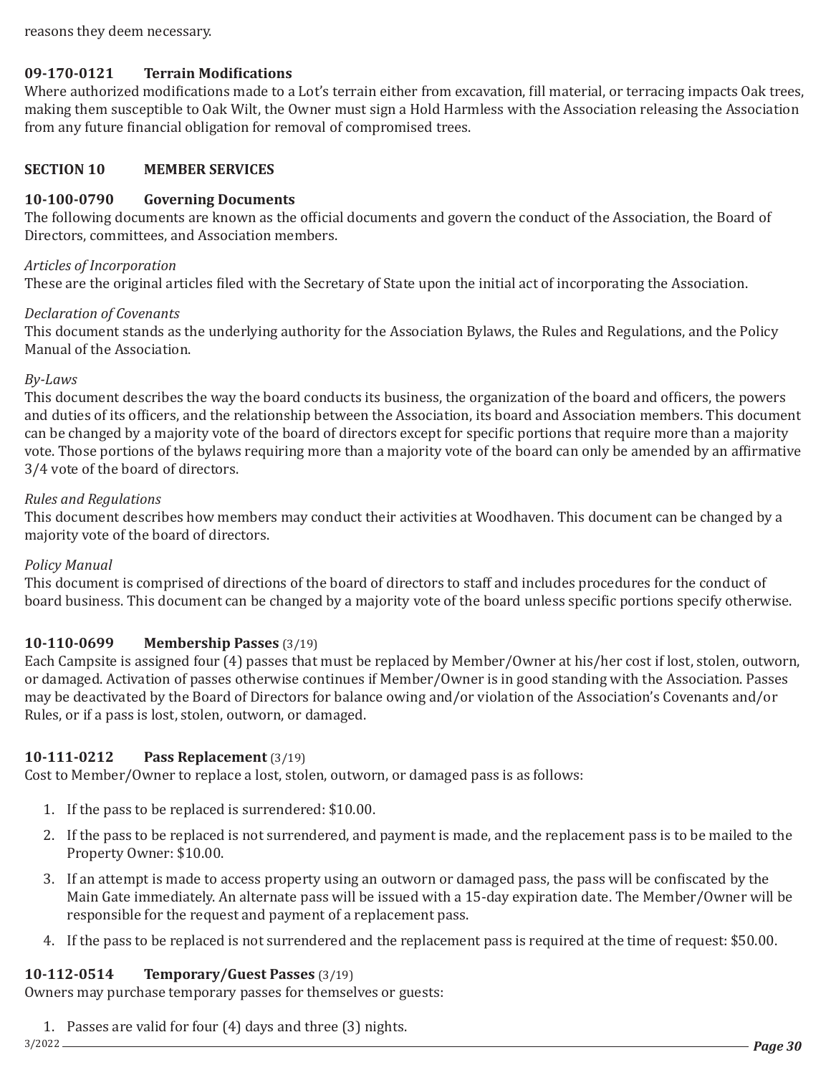reasons they deem necessary.

#### **09-170-0121 Terrain Modifications**

Where authorized modifications made to a Lot's terrain either from excavation, fill material, or terracing impacts Oak trees, making them susceptible to Oak Wilt, the Owner must sign a Hold Harmless with the Association releasing the Association from any future financial obligation for removal of compromised trees.

#### **SECTION 10 MEMBER SERVICES**

#### **10-100-0790 Governing Documents**

The following documents are known as the official documents and govern the conduct of the Association, the Board of Directors, committees, and Association members.

#### *Articles of Incorporation*

These are the original articles filed with the Secretary of State upon the initial act of incorporating the Association.

#### *Declaration of Covenants*

This document stands as the underlying authority for the Association Bylaws, the Rules and Regulations, and the Policy Manual of the Association.

#### *By-Laws*

This document describes the way the board conducts its business, the organization of the board and officers, the powers and duties of its officers, and the relationship between the Association, its board and Association members. This document can be changed by a majority vote of the board of directors except for specific portions that require more than a majority vote. Those portions of the bylaws requiring more than a majority vote of the board can only be amended by an affirmative 3/4 vote of the board of directors.

#### *Rules and Regulations*

This document describes how members may conduct their activities at Woodhaven. This document can be changed by a majority vote of the board of directors.

### *Policy Manual*

This document is comprised of directions of the board of directors to staff and includes procedures for the conduct of board business. This document can be changed by a majority vote of the board unless specific portions specify otherwise.

### **10-110-0699 Membership Passes** (3/19)

Each Campsite is assigned four (4) passes that must be replaced by Member/Owner at his/her cost if lost, stolen, outworn, or damaged. Activation of passes otherwise continues if Member/Owner is in good standing with the Association. Passes may be deactivated by the Board of Directors for balance owing and/or violation of the Association's Covenants and/or Rules, or if a pass is lost, stolen, outworn, or damaged.

### **10-111-0212 Pass Replacement** (3/19)

Cost to Member/Owner to replace a lost, stolen, outworn, or damaged pass is as follows:

- 1. If the pass to be replaced is surrendered: \$10.00.
- 2. If the pass to be replaced is not surrendered, and payment is made, and the replacement pass is to be mailed to the Property Owner: \$10.00.
- 3. If an attempt is made to access property using an outworn or damaged pass, the pass will be confiscated by the Main Gate immediately. An alternate pass will be issued with a 15-day expiration date. The Member/Owner will be responsible for the request and payment of a replacement pass.
- 4. If the pass to be replaced is not surrendered and the replacement pass is required at the time of request: \$50.00.

#### **10-112-0514 Temporary/Guest Passes** (3/19)

Owners may purchase temporary passes for themselves or guests:

1. Passes are valid for four (4) days and three (3) nights.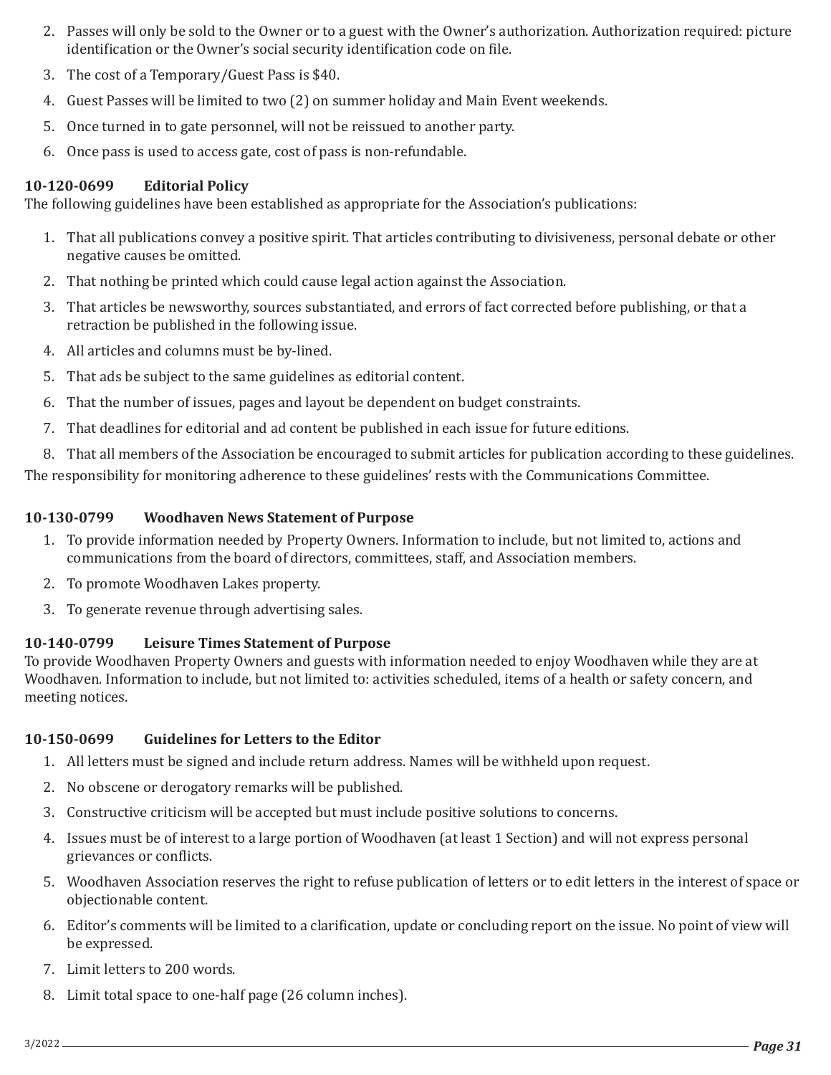- 2. Passes will only be sold to the Owner or to a guest with the Owner's authorization. Authorization required: picture identification or the Owner's social security identification code on file.
- 3. The cost of a Temporary/Guest Pass is \$40.
- 4. Guest Passes will be limited to two (2) on summer holiday and Main Event weekends.
- 5. Once turned in to gate personnel, will not be reissued to another party.
- 6. Once pass is used to access gate, cost of pass is non-refundable.

## **10-120-0699 Editorial Policy**

The following guidelines have been established as appropriate for the Association's publications:

- 1. That all publications convey a positive spirit. That articles contributing to divisiveness, personal debate or other negative causes be omitted.
- 2. That nothing be printed which could cause legal action against the Association.
- 3. That articles be newsworthy, sources substantiated, and errors of fact corrected before publishing, or that a retraction be published in the following issue.
- 4. All articles and columns must be by-lined.
- 5. That ads be subject to the same guidelines as editorial content.
- 6. That the number of issues, pages and layout be dependent on budget constraints.
- 7. That deadlines for editorial and ad content be published in each issue for future editions.

8. That all members of the Association be encouraged to submit articles for publication according to these guidelines. The responsibility for monitoring adherence to these guidelines' rests with the Communications Committee.

## **10-130-0799 Woodhaven News Statement of Purpose**

- 1. To provide information needed by Property Owners. Information to include, but not limited to, actions and communications from the board of directors, committees, staff, and Association members.
- 2. To promote Woodhaven Lakes property.
- 3. To generate revenue through advertising sales.

### **10-140-0799 Leisure Times Statement of Purpose**

To provide Woodhaven Property Owners and guests with information needed to enjoy Woodhaven while they are at Woodhaven. Information to include, but not limited to: activities scheduled, items of a health or safety concern, and meeting notices.

### **10-150-0699 Guidelines for Letters to the Editor**

- 1. All letters must be signed and include return address. Names will be withheld upon request.
- 2. No obscene or derogatory remarks will be published.
- 3. Constructive criticism will be accepted but must include positive solutions to concerns.
- 4. Issues must be of interest to a large portion of Woodhaven (at least 1 Section) and will not express personal grievances or conflicts.
- 5. Woodhaven Association reserves the right to refuse publication of letters or to edit letters in the interest of space or objectionable content.
- 6. Editor's comments will be limited to a clarification, update or concluding report on the issue. No point of view will be expressed.
- 7. Limit letters to 200 words.
- 8. Limit total space to one-half page (26 column inches).